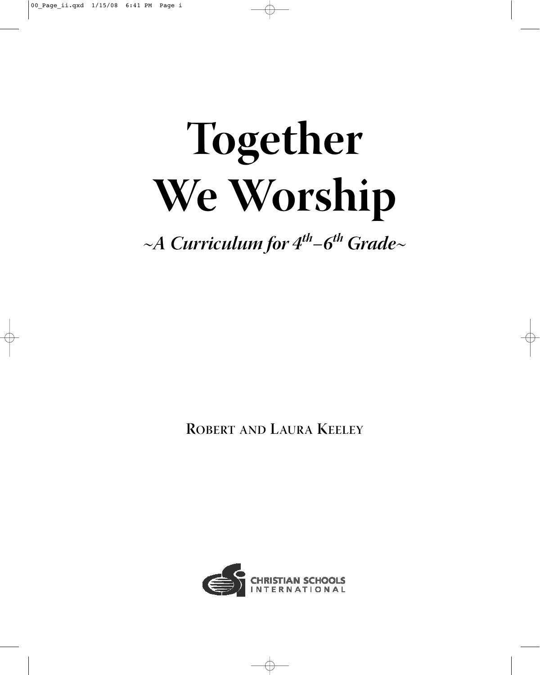# **Together We Worship**

 $~\sim$ A Curriculum for  $4^{th}$ –6<sup>th</sup> Grade $\sim$ 

**ROBERT AND LAURA KEELEY**

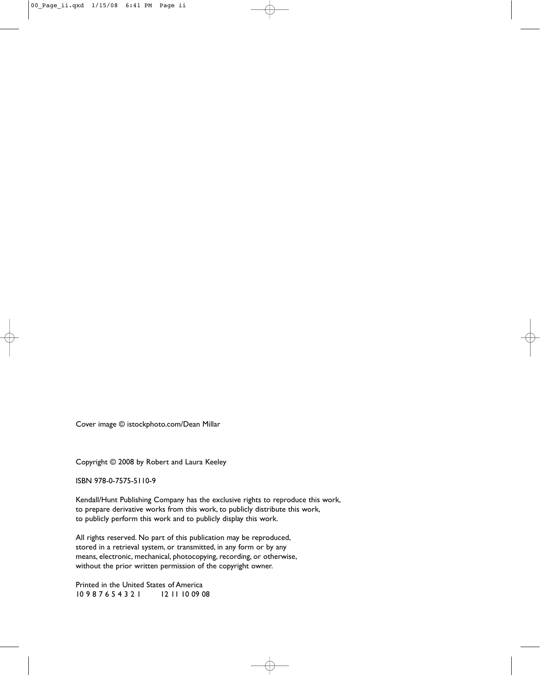Cover image © istockphoto.com/Dean Millar

Copyright © 2008 by Robert and Laura Keeley

ISBN 978-0-7575-5110-9

Kendall/Hunt Publishing Company has the exclusive rights to reproduce this work, to prepare derivative works from this work, to publicly distribute this work, to publicly perform this work and to publicly display this work.

All rights reserved. No part of this publication may be reproduced, stored in a retrieval system, or transmitted, in any form or by any means, electronic, mechanical, photocopying, recording, or otherwise, without the prior written permission of the copyright owner.

Printed in the United States of America 10 9 8 7 6 5 4 3 2 1 12 11 10 09 08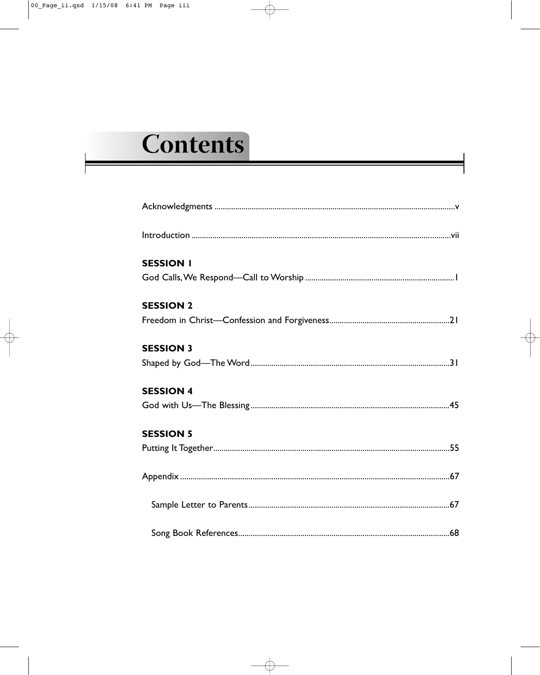# Contents

| <b>SESSION I</b> |
|------------------|
|                  |
| <b>SESSION 2</b> |
|                  |
| <b>SESSION 3</b> |
|                  |
| <b>SESSION 4</b> |
|                  |
| <b>SESSION 5</b> |
|                  |
|                  |
|                  |
|                  |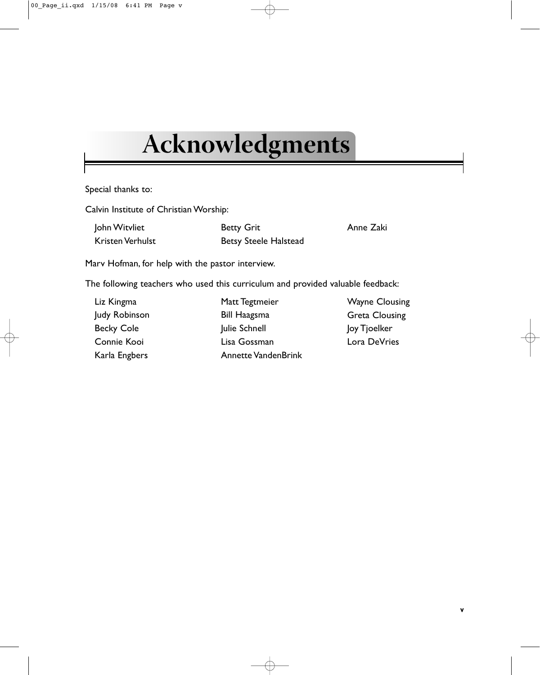# <span id="page-4-0"></span>**Acknowledgments**

Special thanks to:

Calvin Institute of Christian Worship:

| John Witvliet    | <b>Betty Grit</b>            | Anne Zaki |
|------------------|------------------------------|-----------|
| Kristen Verhulst | <b>Betsy Steele Halstead</b> |           |

Marv Hofman, for help with the pastor interview.

The following teachers who used this curriculum and provided valuable feedback:

| Liz Kingma        | Matt Tegtmeier             | <b>Wayne Clousing</b> |
|-------------------|----------------------------|-----------------------|
| Judy Robinson     | <b>Bill Haagsma</b>        | <b>Greta Clousing</b> |
| <b>Becky Cole</b> | Julie Schnell              | Joy Tjoelker          |
| Connie Kooi       | Lisa Gossman               | Lora DeVries          |
| Karla Engbers     | <b>Annette VandenBrink</b> |                       |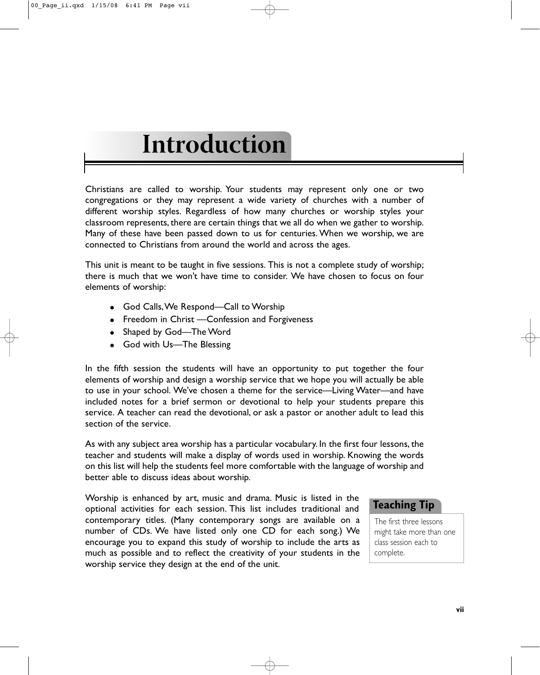# <span id="page-6-0"></span>**Introduction**

Christians are called to worship. Your students may represent only one or two congregations or they may represent a wide variety of churches with a number of different worship styles. Regardless of how many churches or worship styles your classroom represents, there are certain things that we all do when we gather to worship. Many of these have been passed down to us for centuries. When we worship, we are connected to Christians from around the world and across the ages.

This unit is meant to be taught in five sessions. This is not a complete study of worship; there is much that we won't have time to consider. We have chosen to focus on four elements of worship:

- God Calls,We Respond—Call to Worship
- Freedom in Christ Confession and Forgiveness
- Shaped by God-The Word
- God with Us-The Blessing

In the fifth session the students will have an opportunity to put together the four elements of worship and design a worship service that we hope you will actually be able to use in your school. We've chosen a theme for the service—Living Water—and have included notes for a brief sermon or devotional to help your students prepare this service. A teacher can read the devotional, or ask a pastor or another adult to lead this section of the service.

As with any subject area worship has a particular vocabulary. In the first four lessons, the teacher and students will make a display of words used in worship. Knowing the words on this list will help the students feel more comfortable with the language of worship and better able to discuss ideas about worship.

Worship is enhanced by art, music and drama. Music is listed in the optional activities for each session. This list includes traditional and contemporary titles. (Many contemporary songs are available on a number of CDs. We have listed only one CD for each song.) We encourage you to expand this study of worship to include the arts as much as possible and to reflect the creativity of your students in the worship service they design at the end of the unit.

### **Teaching Tip**

The first three lessons might take more than one class session each to complete.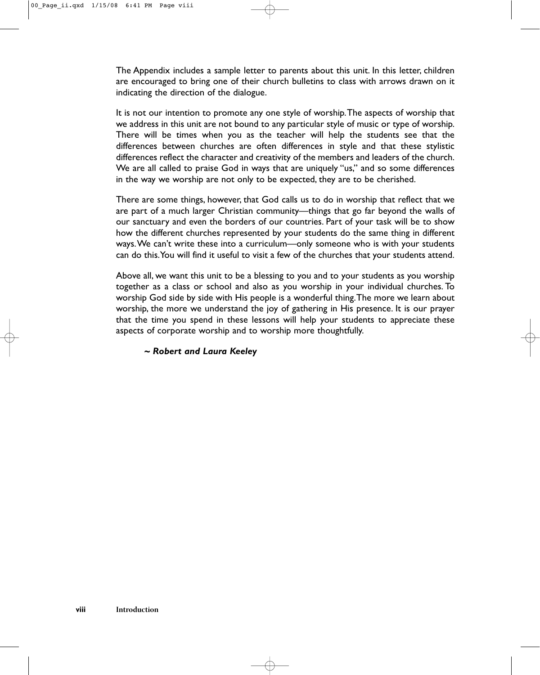The Appendix includes a sample letter to parents about this unit. In this letter, children are encouraged to bring one of their church bulletins to class with arrows drawn on it indicating the direction of the dialogue.

It is not our intention to promote any one style of worship.The aspects of worship that we address in this unit are not bound to any particular style of music or type of worship. There will be times when you as the teacher will help the students see that the differences between churches are often differences in style and that these stylistic differences reflect the character and creativity of the members and leaders of the church. We are all called to praise God in ways that are uniquely "us," and so some differences in the way we worship are not only to be expected, they are to be cherished.

There are some things, however, that God calls us to do in worship that reflect that we are part of a much larger Christian community—things that go far beyond the walls of our sanctuary and even the borders of our countries. Part of your task will be to show how the different churches represented by your students do the same thing in different ways.We can't write these into a curriculum—only someone who is with your students can do this.You will find it useful to visit a few of the churches that your students attend.

Above all, we want this unit to be a blessing to you and to your students as you worship together as a class or school and also as you worship in your individual churches. To worship God side by side with His people is a wonderful thing.The more we learn about worship, the more we understand the joy of gathering in His presence. It is our prayer that the time you spend in these lessons will help your students to appreciate these aspects of corporate worship and to worship more thoughtfully.

#### *~ Robert and Laura Keeley*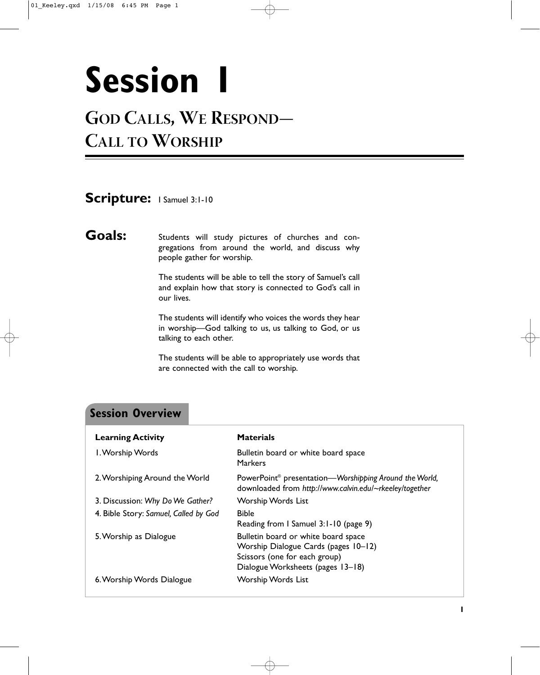# <span id="page-8-0"></span>**Session 1**

# **GOD CALLS, WE RESPOND— CALL TO WORSHIP**

### Scripture: I Samuel 3:1-10

Goals: Students will study pictures of churches and congregations from around the world, and discuss why people gather for worship.

> The students will be able to tell the story of Samuel's call and explain how that story is connected to God's call in our lives.

> The students will identify who voices the words they hear in worship—God talking to us, us talking to God, or us talking to each other.

> The students will be able to appropriately use words that are connected with the call to worship.

### **Session Overview**

| <b>Learning Activity</b>              | <b>Materials</b>                                                                                                                                  |
|---------------------------------------|---------------------------------------------------------------------------------------------------------------------------------------------------|
| I. Worship Words                      | Bulletin board or white board space<br>Markers                                                                                                    |
| 2. Worshiping Around the World        | PowerPoint <sup>®</sup> presentation—Worshipping Around the World,<br>downloaded from http://www.calvin.edu/~rkeeley/together                     |
| 3. Discussion: Why Do We Gather?      | <b>Worship Words List</b>                                                                                                                         |
| 4. Bible Story: Samuel, Called by God | <b>Bible</b><br>Reading from I Samuel 3:1-10 (page 9)                                                                                             |
| 5. Worship as Dialogue                | Bulletin board or white board space<br>Worship Dialogue Cards (pages 10-12)<br>Scissors (one for each group)<br>Dialogue Worksheets (pages 13–18) |
| 6. Worship Words Dialogue             | <b>Worship Words List</b>                                                                                                                         |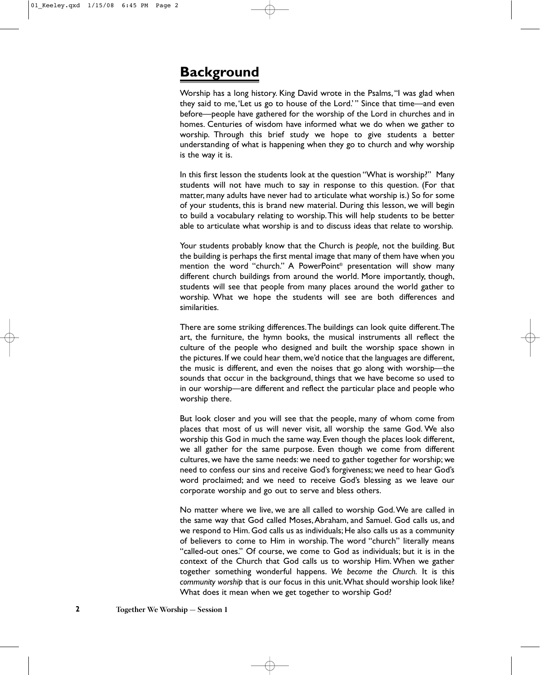### **Background**

Worship has a long history. King David wrote in the Psalms,"I was glad when they said to me,'Let us go to house of the Lord.' " Since that time—and even before—people have gathered for the worship of the Lord in churches and in homes. Centuries of wisdom have informed what we do when we gather to worship. Through this brief study we hope to give students a better understanding of what is happening when they go to church and why worship is the way it is.

In this first lesson the students look at the question "What is worship?" Many students will not have much to say in response to this question. (For that matter, many adults have never had to articulate what worship is.) So for some of your students, this is brand new material. During this lesson, we will begin to build a vocabulary relating to worship.This will help students to be better able to articulate what worship is and to discuss ideas that relate to worship.

Your students probably know that the Church is *people,* not the building. But the building is perhaps the first mental image that many of them have when you mention the word "church." A PowerPoint® presentation will show many different church buildings from around the world. More importantly, though, students will see that people from many places around the world gather to worship. What we hope the students will see are both differences and similarities.

There are some striking differences.The buildings can look quite different.The art, the furniture, the hymn books, the musical instruments all reflect the culture of the people who designed and built the worship space shown in the pictures. If we could hear them, we'd notice that the languages are different, the music is different, and even the noises that go along with worship—the sounds that occur in the background, things that we have become so used to in our worship—are different and reflect the particular place and people who worship there.

But look closer and you will see that the people, many of whom come from places that most of us will never visit, all worship the same God. We also worship this God in much the same way. Even though the places look different, we all gather for the same purpose. Even though we come from different cultures, we have the same needs: we need to gather together for worship; we need to confess our sins and receive God's forgiveness; we need to hear God's word proclaimed; and we need to receive God's blessing as we leave our corporate worship and go out to serve and bless others.

No matter where we live, we are all called to worship God.We are called in the same way that God called Moses,Abraham, and Samuel. God calls us, and we respond to Him. God calls us as individuals; He also calls us as a community of believers to come to Him in worship. The word "church" literally means "called-out ones." Of course, we come to God as individuals; but it is in the context of the Church that God calls us to worship Him. When we gather together something wonderful happens. *We become the Church.* It is this *community worship* that is our focus in this unit.What should worship look like? What does it mean when we get together to worship God?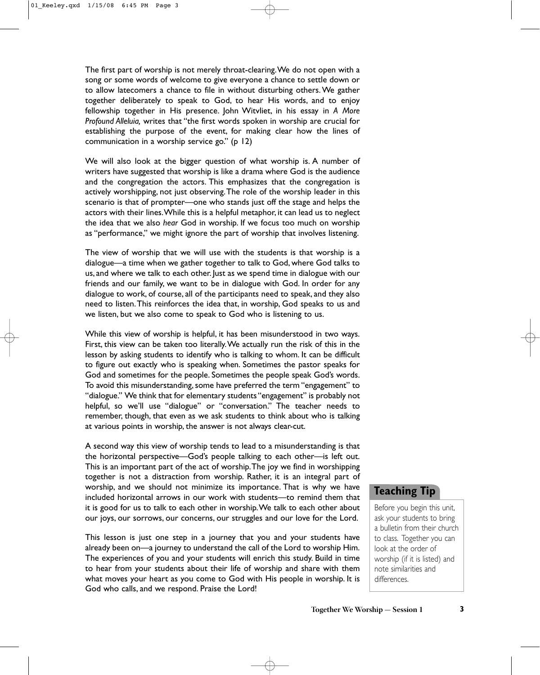The first part of worship is not merely throat-clearing.We do not open with a song or some words of welcome to give everyone a chance to settle down or to allow latecomers a chance to file in without disturbing others. We gather together deliberately to speak to God, to hear His words, and to enjoy fellowship together in His presence. John Witvliet, in his essay in *A More Profound Alleluia,* writes that "the first words spoken in worship are crucial for establishing the purpose of the event, for making clear how the lines of communication in a worship service go." (p 12)

We will also look at the bigger question of what worship is. A number of writers have suggested that worship is like a drama where God is the audience and the congregation the actors. This emphasizes that the congregation is actively worshipping, not just observing.The role of the worship leader in this scenario is that of prompter—one who stands just off the stage and helps the actors with their lines.While this is a helpful metaphor, it can lead us to neglect the idea that we also *hear* God in worship. If we focus too much on worship as "performance," we might ignore the part of worship that involves listening.

The view of worship that we will use with the students is that worship is a dialogue—a time when we gather together to talk to God, where God talks to us, and where we talk to each other. Just as we spend time in dialogue with our friends and our family, we want to be in dialogue with God. In order for any dialogue to work, of course, all of the participants need to speak, and they also need to listen.This reinforces the idea that, in worship, God speaks to us and we listen, but we also come to speak to God who is listening to us.

While this view of worship is helpful, it has been misunderstood in two ways. First, this view can be taken too literally.We actually run the risk of this in the lesson by asking students to identify who is talking to whom. It can be difficult to figure out exactly who is speaking when. Sometimes the pastor speaks for God and sometimes for the people. Sometimes the people speak God's words. To avoid this misunderstanding, some have preferred the term "engagement" to "dialogue." We think that for elementary students "engagement" is probably not helpful, so we'll use "dialogue" or "conversation." The teacher needs to remember, though, that even as we ask students to think about who is talking at various points in worship, the answer is not always clear-cut.

A second way this view of worship tends to lead to a misunderstanding is that the horizontal perspective—God's people talking to each other—is left out. This is an important part of the act of worship.The joy we find in worshipping together is not a distraction from worship. Rather, it is an integral part of worship, and we should not minimize its importance. That is why we have included horizontal arrows in our work with students—to remind them that it is good for us to talk to each other in worship.We talk to each other about our joys, our sorrows, our concerns, our struggles and our love for the Lord.

This lesson is just one step in a journey that you and your students have already been on—a journey to understand the call of the Lord to worship Him. The experiences of you and your students will enrich this study. Build in time to hear from your students about their life of worship and share with them what moves your heart as you come to God with His people in worship. It is God who calls, and we respond. Praise the Lord!

### **Teaching Tip**

Before you begin this unit, ask your students to bring a bulletin from their church to class. Together you can look at the order of worship (if it is listed) and note similarities and differences.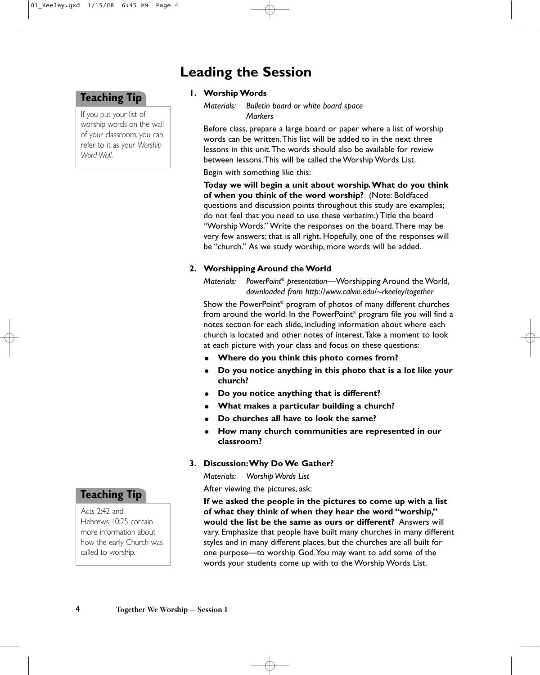### **Leading the Session**

### **Teaching Tip**

If you put your list of worship words on the wall of your classroom, you can refer to it as your *Worship Word Wall.*

#### **1. Worship Words**

*Materials: Bulletin board or white board space Markers*

Before class, prepare a large board or paper where a list of worship words can be written.This list will be added to in the next three lessons in this unit.The words should also be available for review between lessons.This will be called the Worship Words List.

Begin with something like this:

**Today we will begin a unit about worship.What do you think of when you think of the word worship?** (Note: Boldfaced questions and discussion points throughout this study are examples; do not feel that you need to use these verbatim.) Title the board "Worship Words." Write the responses on the board.There may be very few answers; that is all right. Hopefully, one of the responses will be "church." As we study worship, more words will be added.

#### **2. Worshipping Around the World**

*Materials: PowerPoint® presentation—*Worshipping Around the World, *downloaded from http://www.calvin.edu/~rkeeley/together*

Show the PowerPoint® program of photos of many different churches from around the world. In the PowerPoint® program file you will find a notes section for each slide, including information about where each church is located and other notes of interest.Take a moment to look at each picture with your class and focus on these questions:

- **Where do you think this photo comes from?**
- $\bullet$  **Do you notice anything in this photo that is a lot like your church?**
- **Do you notice anything that is different?**
- **What makes a particular building a church?**
- **Do churches all have to look the same?**
- $\bullet$  **How many church communities are represented in our classroom?**
- **3. Discussion:Why Do We Gather?**

*Materials: Worship Words List*

After viewing the pictures, ask:

**If we asked the people in the pictures to come up with a list of what they think of when they hear the word "worship," would the list be the same as ours or different?** Answers will vary. Emphasize that people have built many churches in many different styles and in many different places, but the churches are all built for one purpose—to worship God.You may want to add some of the words your students come up with to the Worship Words List.

### **Teaching Tip**

Acts 2:42 and Hebrews 10:25 contain more information about how the early Church was called to worship.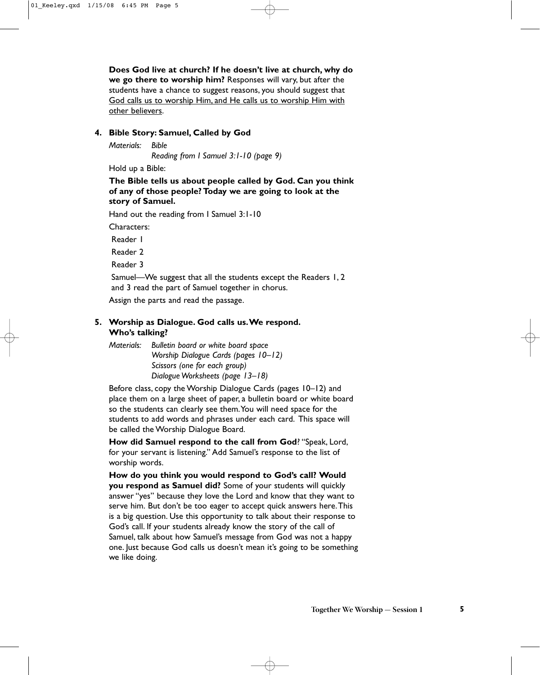**Does God live at church? If he doesn't live at church, why do we go there to worship him?** Responses will vary, but after the students have a chance to suggest reasons, you should suggest that God calls us to worship Him, and He calls us to worship Him with other believers.

#### **4. Bible Story: Samuel, Called by God**

*Materials: Bible Reading from I Samuel 3:1-10 (page 9)*

Hold up a Bible:

#### **The Bible tells us about people called by God. Can you think of any of those people? Today we are going to look at the story of Samuel.**

Hand out the reading from I Samuel 3:1-10

Characters:

Reader 1

Reader 2

Reader 3

Samuel—We suggest that all the students except the Readers 1, 2 and 3 read the part of Samuel together in chorus.

Assign the parts and read the passage.

#### **5. Worship as Dialogue. God calls us.We respond. Who's talking?**

*Materials: Bulletin board or white board space Worship Dialogue Cards (pages 10–12) Scissors (one for each group) Dialogue Worksheets (page 13–18)*

Before class, copy the Worship Dialogue Cards (pages 10–12) and place them on a large sheet of paper, a bulletin board or white board so the students can clearly see them.You will need space for the students to add words and phrases under each card. This space will be called the Worship Dialogue Board.

**How did Samuel respond to the call from God**? "Speak, Lord, for your servant is listening." Add Samuel's response to the list of worship words.

**How do you think you would respond to God's call? Would you respond as Samuel did?** Some of your students will quickly answer "yes" because they love the Lord and know that they want to serve him. But don't be too eager to accept quick answers here.This is a big question. Use this opportunity to talk about their response to God's call. If your students already know the story of the call of Samuel, talk about how Samuel's message from God was not a happy one. Just because God calls us doesn't mean it's going to be something we like doing.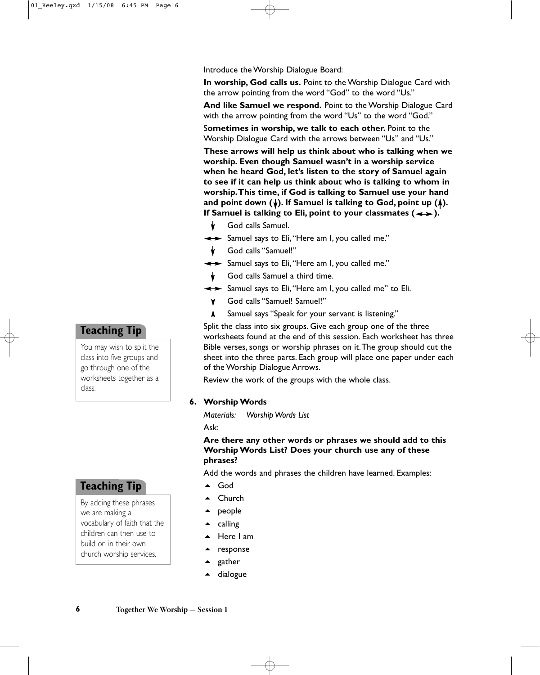Introduce the Worship Dialogue Board:

**In worship, God calls us.** Point to the Worship Dialogue Card with the arrow pointing from the word "God" to the word "Us."

**And like Samuel we respond.** Point to the Worship Dialogue Card with the arrow pointing from the word "Us" to the word "God."

S**ometimes in worship, we talk to each other.** Point to the Worship Dialogue Card with the arrows between "Us" and "Us."

**These arrows will help us think about who is talking when we worship. Even though Samuel wasn't in a worship service when he heard God, let's listen to the story of Samuel again to see if it can help us think about who is talking to whom in worship.This time, if God is talking to Samuel use your hand** and point down  $(\dagger)$ . If Samuel is talking to God, point up  $(\dagger)$ . If Samuel is talking to Eli, point to your classmates  $(\rightarrow)$ .

- God calls Samuel.
- $\leftrightarrow$  Samuel says to Eli, "Here am I, you called me."
- God calls "Samuel!"
- $\leftrightarrow$  Samuel says to Eli, "Here am I, you called me."
- God calls Samuel a third time.
- $\leftrightarrow$  Samuel says to Eli, "Here am I, you called me" to Eli.
	- God calls "Samuel! Samuel!"
	- Samuel says "Speak for your servant is listening." ٨

Split the class into six groups. Give each group one of the three worksheets found at the end of this session. Each worksheet has three Bible verses, songs or worship phrases on it.The group should cut the sheet into the three parts. Each group will place one paper under each of the Worship Dialogue Arrows.

Review the work of the groups with the whole class.

#### **6. Worship Words**

*Materials: Worship Words List* Ask:

#### **Are there any other words or phrases we should add to this Worship Words List? Does your church use any of these phrases?**

Add the words and phrases the children have learned. Examples:

- $\triangle$  God
- ▲ Church
- $\blacktriangle$  people
- $\triangle$  calling
- $\triangle$  Here I am
- response
- gather
- dialogue

### **Teaching Tip**

You may wish to split the class into five groups and go through one of the worksheets together as a class.

### **Teaching Tip**

By adding these phrases we are making a vocabulary of faith that the children can then use to build on in their own church worship services.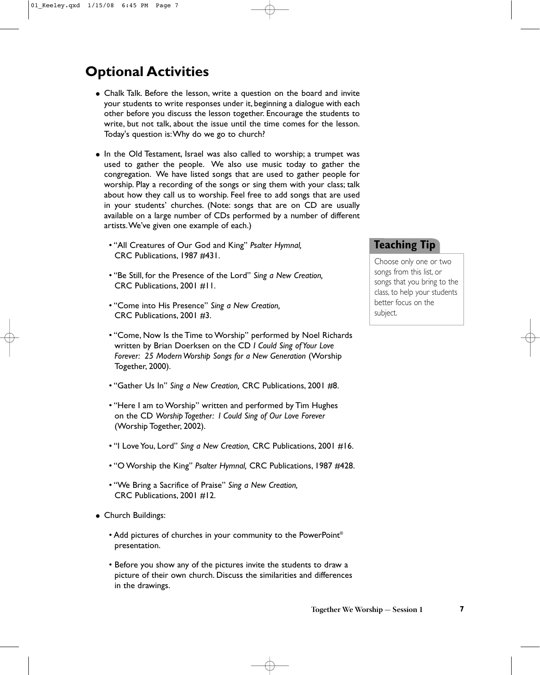# **Optional Activities**

- Chalk Talk. Before the lesson, write a question on the board and invite your students to write responses under it, beginning a dialogue with each other before you discuss the lesson together. Encourage the students to write, but not talk, about the issue until the time comes for the lesson. Today's question is:Why do we go to church?
- In the Old Testament, Israel was also called to worship; a trumpet was used to gather the people. We also use music today to gather the congregation. We have listed songs that are used to gather people for worship. Play a recording of the songs or sing them with your class; talk about how they call us to worship. Feel free to add songs that are used in your students' churches. (Note: songs that are on CD are usually available on a large number of CDs performed by a number of different artists.We've given one example of each.)
	- "All Creatures of Our God and King" *Psalter Hymnal,* CRC Publications, 1987 #431.
	- "Be Still, for the Presence of the Lord" *Sing a New Creation,* CRC Publications, 2001 #11.
	- "Come into His Presence" *Sing a New Creation,* CRC Publications, 2001 #3.
	- "Come, Now Is the Time to Worship" performed by Noel Richards written by Brian Doerksen on the CD *I Could Sing of Your Love Forever: 25 Modern Worship Songs for a New Generation* (Worship Together, 2000).
	- "Gather Us In" *Sing a New Creation,* CRC Publications, 2001 #8.
	- "Here I am to Worship" written and performed by Tim Hughes on the CD *Worship Together: I Could Sing of Our Love Forever* (Worship Together, 2002).
	- "I Love You, Lord" *Sing a New Creation,* CRC Publications, 2001 #16.
	- "O Worship the King" *Psalter Hymnal,* CRC Publications, 1987 #428.
	- "We Bring a Sacrifice of Praise" *Sing a New Creation,* CRC Publications, 2001 #12.
- Church Buildings:
	- Add pictures of churches in your community to the PowerPoint® presentation.
	- Before you show any of the pictures invite the students to draw a picture of their own church. Discuss the similarities and differences in the drawings.

### **Teaching Tip**

Choose only one or two songs from this list, or songs that you bring to the class, to help your students better focus on the subject.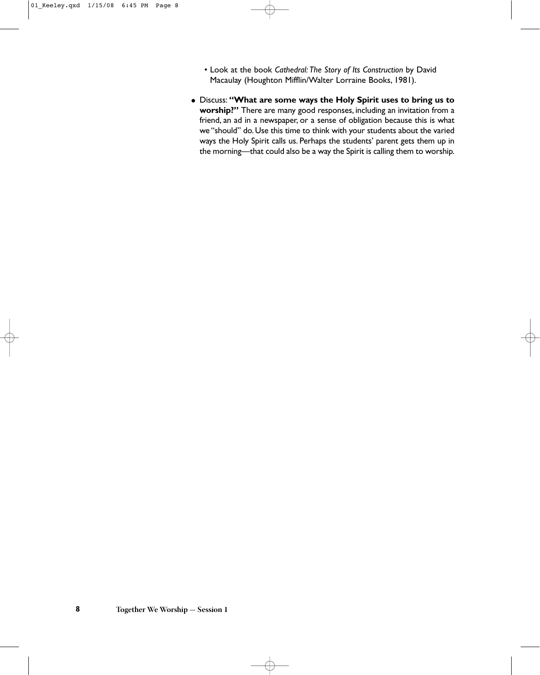- Look at the book *Cathedral: The Story of Its Construction* by David Macaulay (Houghton Mifflin/Walter Lorraine Books, 1981).
- Discuss: **"What are some ways the Holy Spirit uses to bring us to worship?"** There are many good responses, including an invitation from a friend, an ad in a newspaper, or a sense of obligation because this is what we "should" do. Use this time to think with your students about the varied ways the Holy Spirit calls us. Perhaps the students' parent gets them up in the morning—that could also be a way the Spirit is calling them to worship.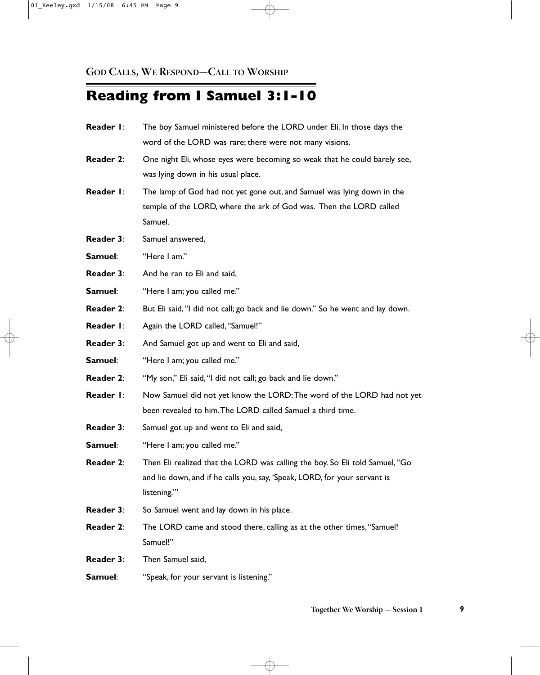# **Reading from I Samuel 3:1-10**

| Reader I:        | The boy Samuel ministered before the LORD under Eli. In those days the         |
|------------------|--------------------------------------------------------------------------------|
|                  | word of the LORD was rare; there were not many visions.                        |
| <b>Reader 2:</b> | One night Eli, whose eyes were becoming so weak that he could barely see,      |
|                  | was lying down in his usual place.                                             |
| Reader I:        | The lamp of God had not yet gone out, and Samuel was lying down in the         |
|                  | temple of the LORD, where the ark of God was. Then the LORD called             |
|                  | Samuel.                                                                        |
| <b>Reader 3:</b> | Samuel answered,                                                               |
| Samuel:          | "Here I am."                                                                   |
| <b>Reader 3:</b> | And he ran to Eli and said,                                                    |
| Samuel:          | "Here I am; you called me."                                                    |
| <b>Reader 2:</b> | But Eli said, "I did not call; go back and lie down." So he went and lay down. |
| Reader I:        | Again the LORD called, "Samuel!"                                               |
| Reader 3:        | And Samuel got up and went to Eli and said,                                    |
| Samuel:          | "Here I am; you called me."                                                    |
| Reader 2:        | "My son," Eli said, "I did not call; go back and lie down."                    |
| Reader I:        | Now Samuel did not yet know the LORD: The word of the LORD had not yet         |
|                  | been revealed to him. The LORD called Samuel a third time.                     |
| Reader 3:        | Samuel got up and went to Eli and said,                                        |
| Samuel:          | "Here I am; you called me."                                                    |
| <b>Reader 2:</b> | Then Eli realized that the LORD was calling the boy. So Eli told Samuel, "Go   |
|                  | and lie down, and if he calls you, say, 'Speak, LORD, for your servant is      |
|                  | listening."                                                                    |
| <b>Reader 3:</b> | So Samuel went and lay down in his place.                                      |
| Reader 2:        | The LORD came and stood there, calling as at the other times, "Samuel!         |
|                  | Samuel!"                                                                       |
| <b>Reader 3:</b> | Then Samuel said,                                                              |
| Samuel:          | "Speak, for your servant is listening."                                        |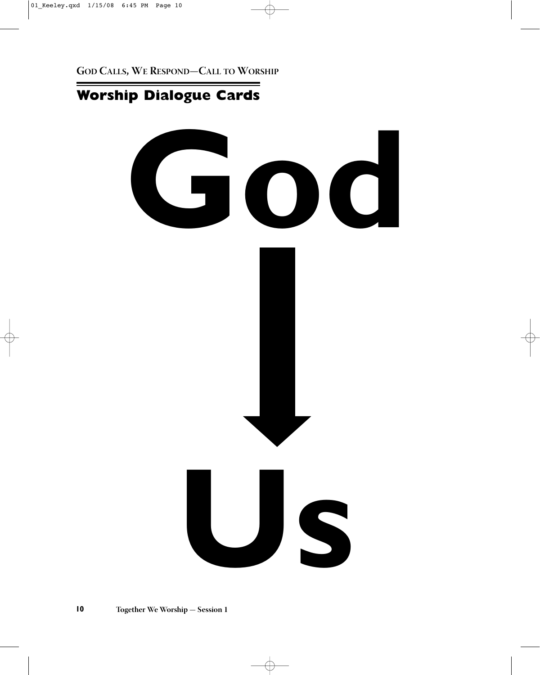# **Worship Dialogue Cards**

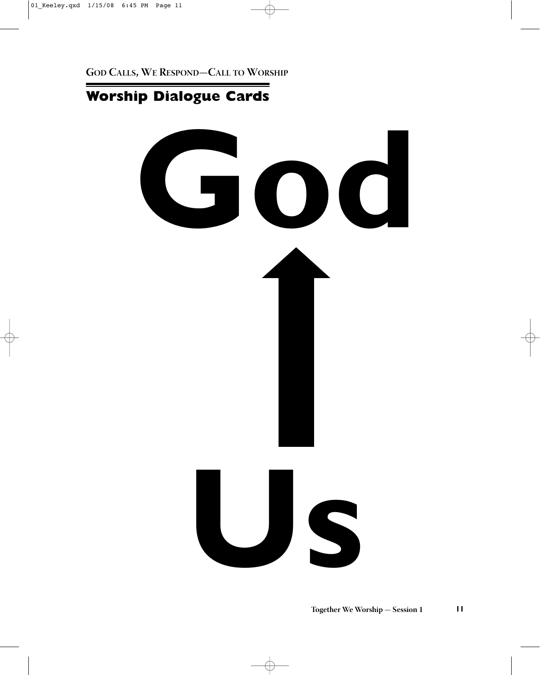# **Worship Dialogue Cards**

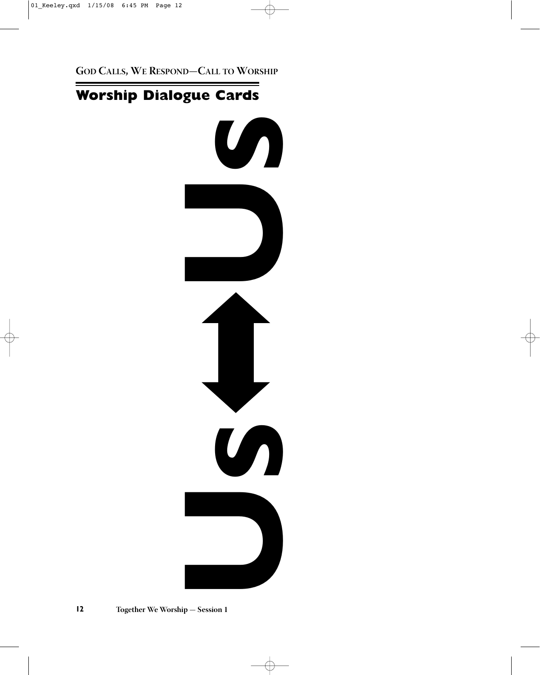# **Worship Dialogue Cards**

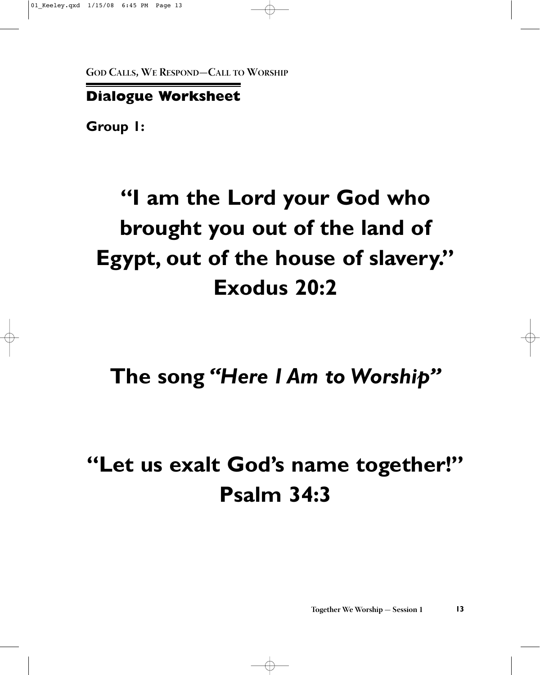## **Dialogue Worksheet**

**Group 1:**

# **"I am the Lord your God who brought you out of the land of Egypt, out of the house of slavery." Exodus 20:2**

**The song** *"Here I Am to Worship"*

# **"Let us exalt God's name together!" Psalm 34:3**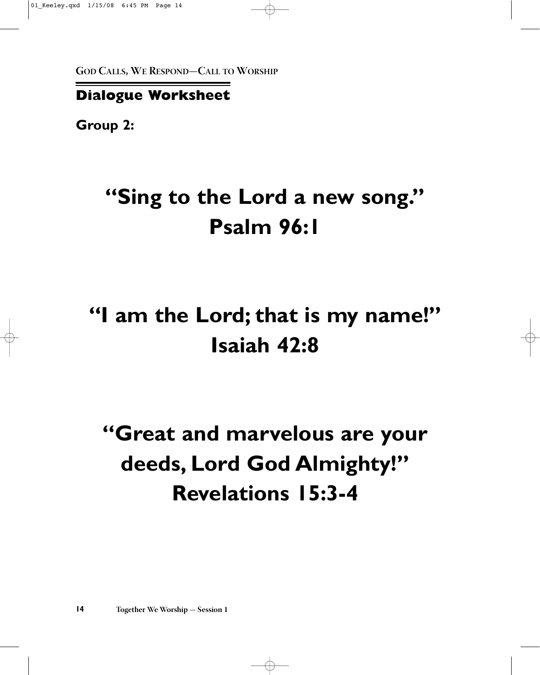### **Dialogue Worksheet**

**Group 2:**

# **"Sing to the Lord a new song." Psalm 96:1**

# **"I am the Lord; that is my name!" Isaiah 42:8**

# **"Great and marvelous are your deeds, Lord God Almighty!" Revelations 15:3-4**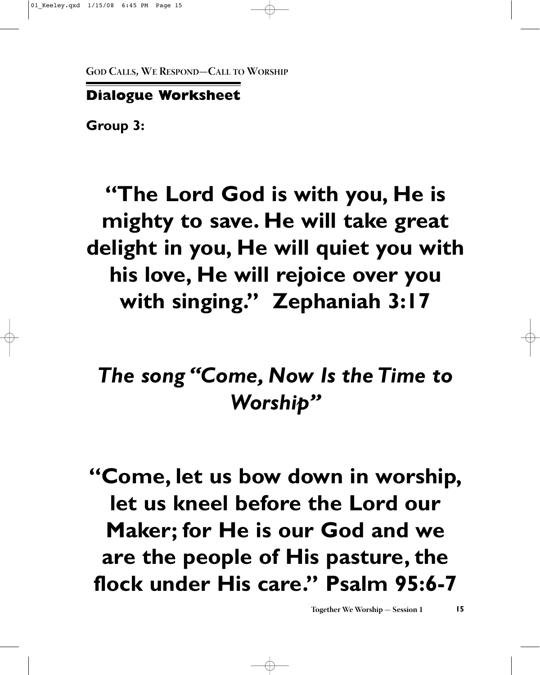# **Dialogue Worksheet**

**Group 3:**

# **"The Lord God is with you, He is mighty to save. He will take great delight in you, He will quiet you with his love, He will rejoice over you with singing." Zephaniah 3:17**

# *The song "Come, Now Is the Time to Worship"*

**"Come, let us bow down in worship, let us kneel before the Lord our Maker; for He is our God and we are the people of His pasture, the flock under His care." Psalm 95:6-7**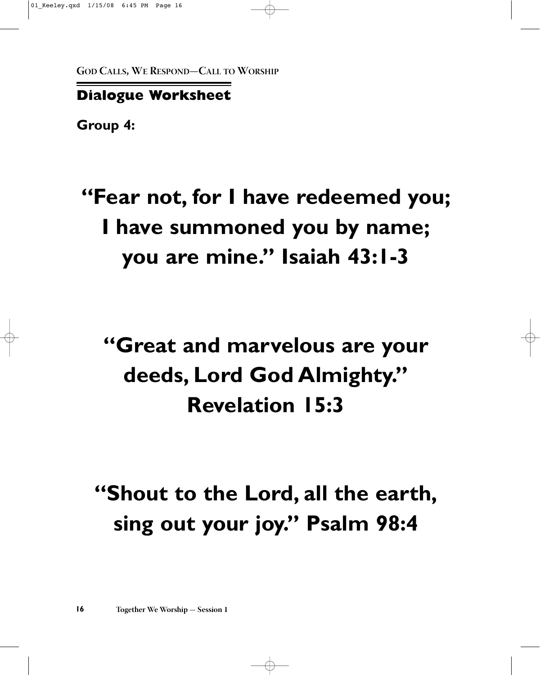# **Dialogue Worksheet**

**Group 4:**

# **"Fear not, for I have redeemed you; I have summoned you by name; you are mine." Isaiah 43:1-3**

# **"Great and marvelous are your deeds, Lord God Almighty." Revelation 15:3**

# **"Shout to the Lord, all the earth, sing out your joy." Psalm 98:4**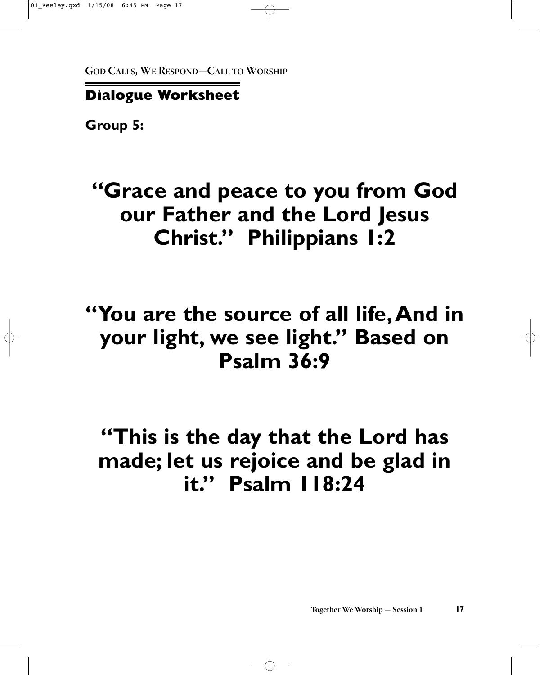# **Dialogue Worksheet**

**Group 5:**

# **"Grace and peace to you from God our Father and the Lord Jesus Christ." Philippians 1:2**

# **"You are the source of all life,And in your light, we see light." Based on Psalm 36:9**

**"This is the day that the Lord has made; let us rejoice and be glad in it." Psalm 118:24**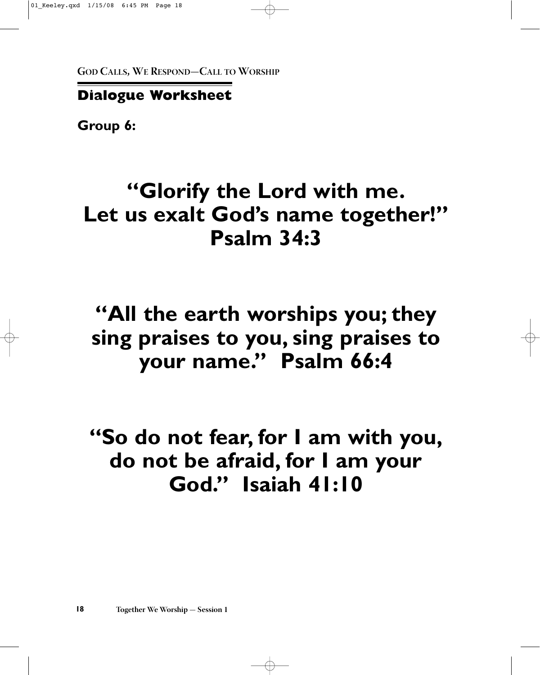### **Dialogue Worksheet**

**Group 6:**

# **"Glorify the Lord with me. Let us exalt God's name together!" Psalm 34:3**

# **"All the earth worships you; they sing praises to you, sing praises to your name." Psalm 66:4**

**"So do not fear, for I am with you, do not be afraid, for I am your God." Isaiah 41:10**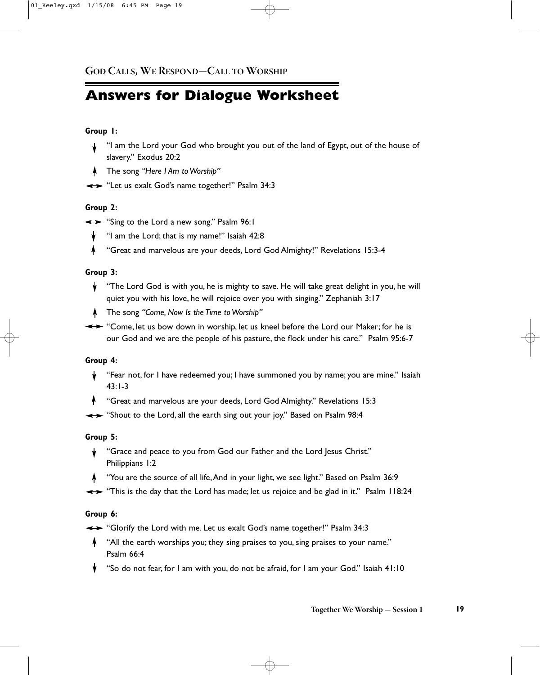# **Answers for Dialogue Worksheet**

#### **Group 1:**

- "I am the Lord your God who brought you out of the land of Egypt, out of the house of slavery." Exodus 20:2
- The song *"Here I Am to Worship"*
- Example: "Let us exalt God's name together!" Psalm 34:3

#### **Group 2:**

- Sing to the Lord a new song." Psalm 96:1
	- "I am the Lord; that is my name!" Isaiah 42:8
	- "Great and marvelous are your deeds, Lord God Almighty!" Revelations 15:3-4  $\blacklozenge$

#### **Group 3:**

- $\mathbf y$  "The Lord God is with you, he is mighty to save. He will take great delight in you, he will quiet you with his love, he will rejoice over you with singing." Zephaniah 3:17
- The song *"Come, Now Is the Time to Worship"*
- $\leftrightarrow$  "Come, let us bow down in worship, let us kneel before the Lord our Maker; for he is our God and we are the people of his pasture, the flock under his care." Psalm 95:6-7

#### **Group 4:**

- "Fear not, for I have redeemed you; I have summoned you by name; you are mine." Isaiah ╈ 43:1-3
- **4** "Great and marvelous are your deeds, Lord God Almighty." Revelations 15:3
- $\leftrightarrow$  "Shout to the Lord, all the earth sing out your joy." Based on Psalm 98:4

#### **Group 5:**

- "Grace and peace to you from God our Father and the Lord Jesus Christ."  $\mathbf{v}$ Philippians 1:2
- "You are the source of all life,And in your light, we see light." Based on Psalm 36:9
- $\leftrightarrow$  "This is the day that the Lord has made; let us rejoice and be glad in it." Psalm 118:24

#### **Group 6:**

- $\leftrightarrow$  "Glorify the Lord with me. Let us exalt God's name together!" Psalm 34:3
- "All the earth worships you; they sing praises to you, sing praises to your name." Psalm 66:4
- "So do not fear, for I am with you, do not be afraid, for I am your God." Isaiah 41:10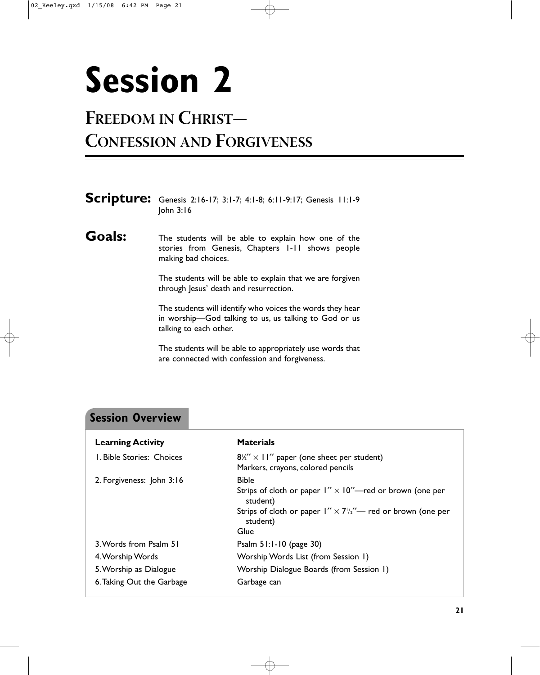# <span id="page-28-0"></span>**Session 2**

# **FREEDOM IN CHRIST—**

# **CONFESSION AND FORGIVENESS**

|               | Scripture: Genesis 2:16-17; 3:1-7; 4:1-8; 6:11-9:17; Genesis 11:1-9<br>John $3:16$                                                           |
|---------------|----------------------------------------------------------------------------------------------------------------------------------------------|
| <b>Goals:</b> | The students will be able to explain how one of the<br>stories from Genesis, Chapters 1-11 shows people<br>making bad choices.               |
|               | The students will be able to explain that we are forgiven<br>through Jesus' death and resurrection.                                          |
|               | The students will identify who voices the words they hear<br>in worship-God talking to us, us talking to God or us<br>talking to each other. |
|               | The students will be able to appropriately use words that<br>are connected with confession and forgiveness.                                  |
|               |                                                                                                                                              |

# **Session Overview**

| <b>Learning Activity</b>  | <b>Materials</b>                                                                                                                                                                       |
|---------------------------|----------------------------------------------------------------------------------------------------------------------------------------------------------------------------------------|
| I. Bible Stories: Choices | $8\frac{1}{2}$ × 11" paper (one sheet per student)<br>Markers, crayons, colored pencils                                                                                                |
| 2. Forgiveness: John 3:16 | <b>Bible</b><br>Strips of cloth or paper $1'' \times 10''$ red or brown (one per<br>student)<br>Strips of cloth or paper $1'' \times 7'/2''$ red or brown (one per<br>student)<br>Glue |
| 3. Words from Psalm 51    | Psalm $51:1-10$ (page 30)                                                                                                                                                              |
| 4. Worship Words          | Worship Words List (from Session 1)                                                                                                                                                    |
| 5. Worship as Dialogue    | Worship Dialogue Boards (from Session 1)                                                                                                                                               |
| 6. Taking Out the Garbage | Garbage can                                                                                                                                                                            |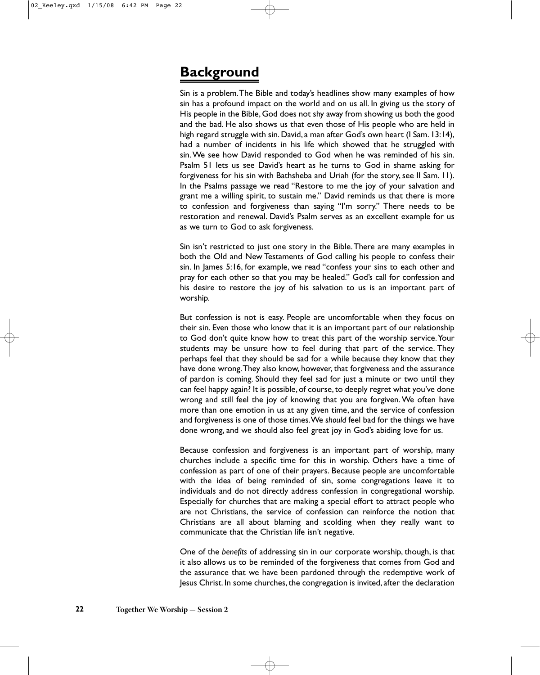### **Background**

Sin is a problem.The Bible and today's headlines show many examples of how sin has a profound impact on the world and on us all. In giving us the story of His people in the Bible, God does not shy away from showing us both the good and the bad. He also shows us that even those of His people who are held in high regard struggle with sin. David, a man after God's own heart (I Sam. 13:14), had a number of incidents in his life which showed that he struggled with sin.We see how David responded to God when he was reminded of his sin. Psalm 51 lets us see David's heart as he turns to God in shame asking for forgiveness for his sin with Bathsheba and Uriah (for the story, see II Sam. 11). In the Psalms passage we read "Restore to me the joy of your salvation and grant me a willing spirit, to sustain me." David reminds us that there is more to confession and forgiveness than saying "I'm sorry." There needs to be restoration and renewal. David's Psalm serves as an excellent example for us as we turn to God to ask forgiveness.

Sin isn't restricted to just one story in the Bible.There are many examples in both the Old and New Testaments of God calling his people to confess their sin. In James 5:16, for example, we read "confess your sins to each other and pray for each other so that you may be healed." God's call for confession and his desire to restore the joy of his salvation to us is an important part of worship.

But confession is not is easy. People are uncomfortable when they focus on their sin. Even those who know that it is an important part of our relationship to God don't quite know how to treat this part of the worship service.Your students may be unsure how to feel during that part of the service. They perhaps feel that they should be sad for a while because they know that they have done wrong.They also know, however, that forgiveness and the assurance of pardon is coming. Should they feel sad for just a minute or two until they can feel happy again? It is possible, of course, to deeply regret what you've done wrong and still feel the joy of knowing that you are forgiven. We often have more than one emotion in us at any given time, and the service of confession and forgiveness is one of those times.We *should* feel bad for the things we have done wrong, and we should also feel great joy in God's abiding love for us.

Because confession and forgiveness is an important part of worship, many churches include a specific time for this in worship. Others have a time of confession as part of one of their prayers. Because people are uncomfortable with the idea of being reminded of sin, some congregations leave it to individuals and do not directly address confession in congregational worship. Especially for churches that are making a special effort to attract people who are not Christians, the service of confession can reinforce the notion that Christians are all about blaming and scolding when they really want to communicate that the Christian life isn't negative.

One of the *benefits* of addressing sin in our corporate worship, though, is that it also allows us to be reminded of the forgiveness that comes from God and the assurance that we have been pardoned through the redemptive work of Jesus Christ. In some churches, the congregation is invited, after the declaration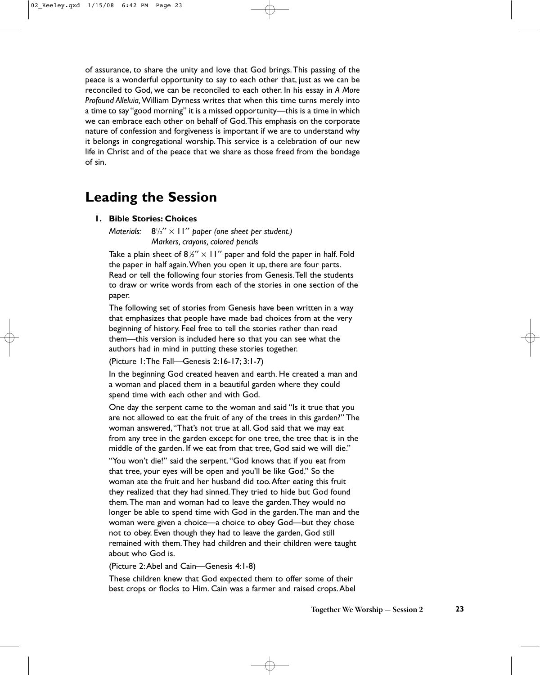of assurance, to share the unity and love that God brings.This passing of the peace is a wonderful opportunity to say to each other that, just as we can be reconciled to God, we can be reconciled to each other. In his essay in *A More Profound Alleluia,*William Dyrness writes that when this time turns merely into a time to say "good morning" it is a missed opportunity—this is a time in which we can embrace each other on behalf of God.This emphasis on the corporate nature of confession and forgiveness is important if we are to understand why it belongs in congregational worship.This service is a celebration of our new life in Christ and of the peace that we share as those freed from the bondage of sin.

### **Leading the Session**

#### **1. Bible Stories: Choices**

*Materials:* /2′′ × 11′′ *paper (one sheet per student.) Markers, crayons, colored pencils*

Take a plain sheet of  $8\frac{1}{2}$   $\times$  11" paper and fold the paper in half. Fold the paper in half again.When you open it up, there are four parts. Read or tell the following four stories from Genesis.Tell the students to draw or write words from each of the stories in one section of the paper.

The following set of stories from Genesis have been written in a way that emphasizes that people have made bad choices from at the very beginning of history. Feel free to tell the stories rather than read them—this version is included here so that you can see what the authors had in mind in putting these stories together.

(Picture 1:The Fall—Genesis 2:16-17; 3:1-7)

In the beginning God created heaven and earth. He created a man and a woman and placed them in a beautiful garden where they could spend time with each other and with God.

One day the serpent came to the woman and said "Is it true that you are not allowed to eat the fruit of any of the trees in this garden?" The woman answered,"That's not true at all. God said that we may eat from any tree in the garden except for one tree, the tree that is in the middle of the garden. If we eat from that tree, God said we will die."

"You won't die!" said the serpent."God knows that if you eat from that tree, your eyes will be open and you'll be like God." So the woman ate the fruit and her husband did too.After eating this fruit they realized that they had sinned.They tried to hide but God found them.The man and woman had to leave the garden.They would no longer be able to spend time with God in the garden.The man and the woman were given a choice—a choice to obey God—but they chose not to obey. Even though they had to leave the garden, God still remained with them.They had children and their children were taught about who God is.

(Picture 2:Abel and Cain—Genesis 4:1-8)

These children knew that God expected them to offer some of their best crops or flocks to Him. Cain was a farmer and raised crops.Abel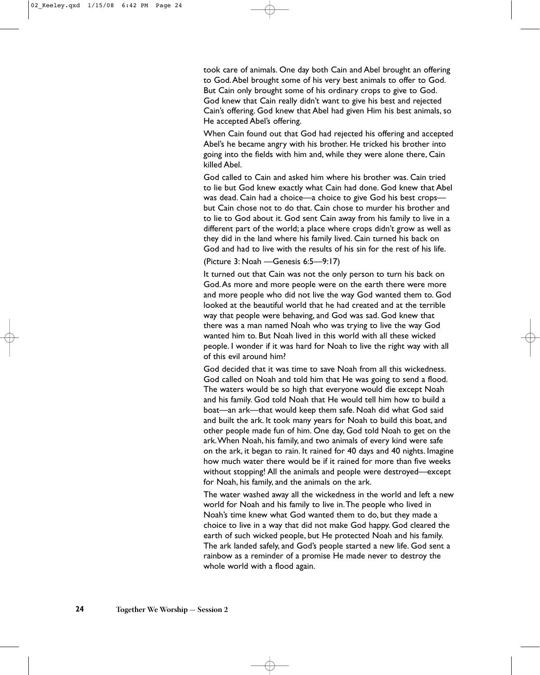took care of animals. One day both Cain and Abel brought an offering to God.Abel brought some of his very best animals to offer to God. But Cain only brought some of his ordinary crops to give to God. God knew that Cain really didn't want to give his best and rejected Cain's offering. God knew that Abel had given Him his best animals, so He accepted Abel's offering.

When Cain found out that God had rejected his offering and accepted Abel's he became angry with his brother. He tricked his brother into going into the fields with him and, while they were alone there, Cain killed Abel.

God called to Cain and asked him where his brother was. Cain tried to lie but God knew exactly what Cain had done. God knew that Abel was dead. Cain had a choice—a choice to give God his best crops but Cain chose not to do that. Cain chose to murder his brother and to lie to God about it. God sent Cain away from his family to live in a different part of the world; a place where crops didn't grow as well as they did in the land where his family lived. Cain turned his back on God and had to live with the results of his sin for the rest of his life.

(Picture 3: Noah —Genesis 6:5—9:17)

It turned out that Cain was not the only person to turn his back on God.As more and more people were on the earth there were more and more people who did not live the way God wanted them to. God looked at the beautiful world that he had created and at the terrible way that people were behaving, and God was sad. God knew that there was a man named Noah who was trying to live the way God wanted him to. But Noah lived in this world with all these wicked people. I wonder if it was hard for Noah to live the right way with all of this evil around him?

God decided that it was time to save Noah from all this wickedness. God called on Noah and told him that He was going to send a flood. The waters would be so high that everyone would die except Noah and his family. God told Noah that He would tell him how to build a boat—an ark—that would keep them safe. Noah did what God said and built the ark. It took many years for Noah to build this boat, and other people made fun of him. One day, God told Noah to get on the ark.When Noah, his family, and two animals of every kind were safe on the ark, it began to rain. It rained for 40 days and 40 nights. Imagine how much water there would be if it rained for more than five weeks without stopping! All the animals and people were destroyed—except for Noah, his family, and the animals on the ark.

The water washed away all the wickedness in the world and left a new world for Noah and his family to live in.The people who lived in Noah's time knew what God wanted them to do, but they made a choice to live in a way that did not make God happy. God cleared the earth of such wicked people, but He protected Noah and his family. The ark landed safely, and God's people started a new life. God sent a rainbow as a reminder of a promise He made never to destroy the whole world with a flood again.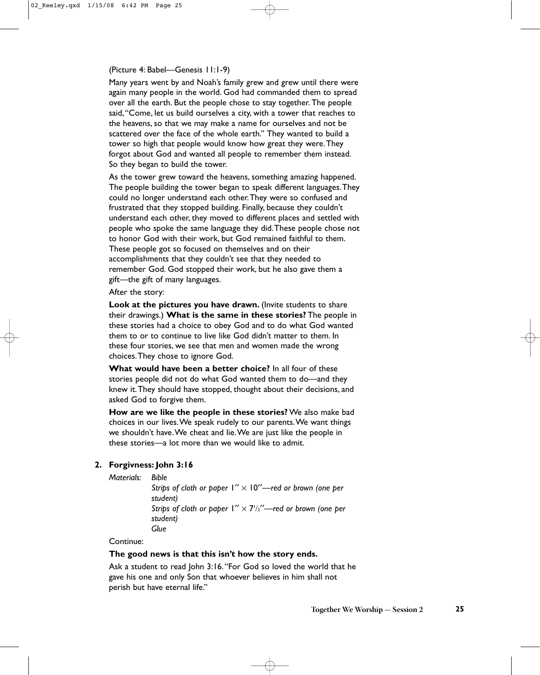#### (Picture 4: Babel—Genesis 11:1-9)

Many years went by and Noah's family grew and grew until there were again many people in the world. God had commanded them to spread over all the earth. But the people chose to stay together. The people said,"Come, let us build ourselves a city, with a tower that reaches to the heavens, so that we may make a name for ourselves and not be scattered over the face of the whole earth." They wanted to build a tower so high that people would know how great they were.They forgot about God and wanted all people to remember them instead. So they began to build the tower.

As the tower grew toward the heavens, something amazing happened. The people building the tower began to speak different languages.They could no longer understand each other.They were so confused and frustrated that they stopped building. Finally, because they couldn't understand each other, they moved to different places and settled with people who spoke the same language they did.These people chose not to honor God with their work, but God remained faithful to them. These people got so focused on themselves and on their accomplishments that they couldn't see that they needed to remember God. God stopped their work, but he also gave them a gift—the gift of many languages.

#### After the story:

**Look at the pictures you have drawn.** (Invite students to share their drawings.) **What is the same in these stories?** The people in these stories had a choice to obey God and to do what God wanted them to or to continue to live like God didn't matter to them. In these four stories, we see that men and women made the wrong choices.They chose to ignore God.

**What would have been a better choice?** In all four of these stories people did not do what God wanted them to do—and they knew it.They should have stopped, thought about their decisions, and asked God to forgive them.

**How are we like the people in these stories?** We also make bad choices in our lives.We speak rudely to our parents.We want things we shouldn't have.We cheat and lie.We are just like the people in these stories—a lot more than we would like to admit.

#### **2. Forgivness: John 3:16**

*Materials: Bible*

*Strips of cloth or paper* 1′′ × 10′′*—red or brown (one per student) Strips of cloth or paper* 1′′ × 71 /2′′*—red or brown (one per student) Glue*

Continue:

#### **The good news is that this isn't how the story ends.**

Ask a student to read John 3:16."For God so loved the world that he gave his one and only Son that whoever believes in him shall not perish but have eternal life."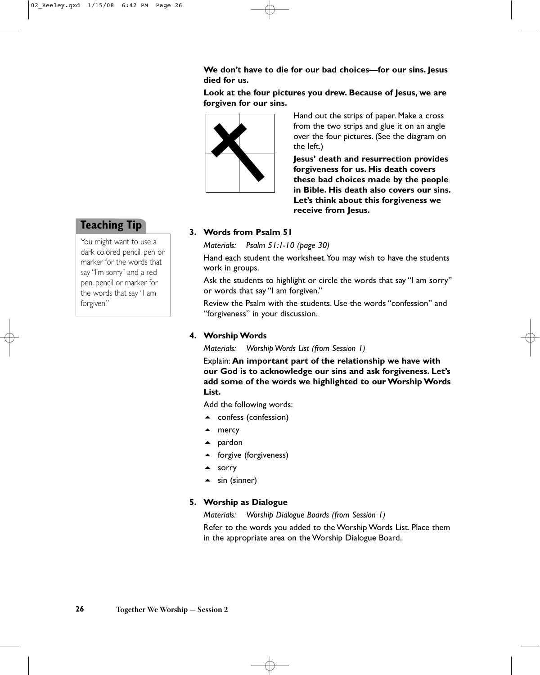**We don't have to die for our bad choices—for our sins. Jesus died for us.**

**Look at the four pictures you drew. Because of Jesus, we are forgiven for our sins.**



Hand out the strips of paper. Make a cross from the two strips and glue it on an angle over the four pictures. (See the diagram on the left.)

**Jesus' death and resurrection provides forgiveness for us. His death covers these bad choices made by the people in Bible. His death also covers our sins. Let's think about this forgiveness we receive from Jesus.**

#### **3. Words from Psalm 51**

*Materials: Psalm 51:1-10 (page 30)*

Hand each student the worksheet.You may wish to have the students work in groups.

Ask the students to highlight or circle the words that say "I am sorry" or words that say "I am forgiven."

Review the Psalm with the students. Use the words "confession" and "forgiveness" in your discussion.

#### **4. Worship Words**

*Materials: Worship Words List (from Session 1)*

Explain: **An important part of the relationship we have with our God is to acknowledge our sins and ask forgiveness. Let's add some of the words we highlighted to our Worship Words List.**

Add the following words:

- ▲ confess (confession)
- ▲ mercy
- ▲ pardon
- ▲ forgive (forgiveness)
- ▲ sorry
- $\triangle$  sin (sinner)

#### **5. Worship as Dialogue**

*Materials: Worship Dialogue Boards (from Session 1)*

Refer to the words you added to the Worship Words List. Place them in the appropriate area on the Worship Dialogue Board.

### **Teaching Tip**

You might want to use a dark colored pencil, pen or marker for the words that say "I'm sorry" and a red pen, pencil or marker for the words that say "I am forgiven."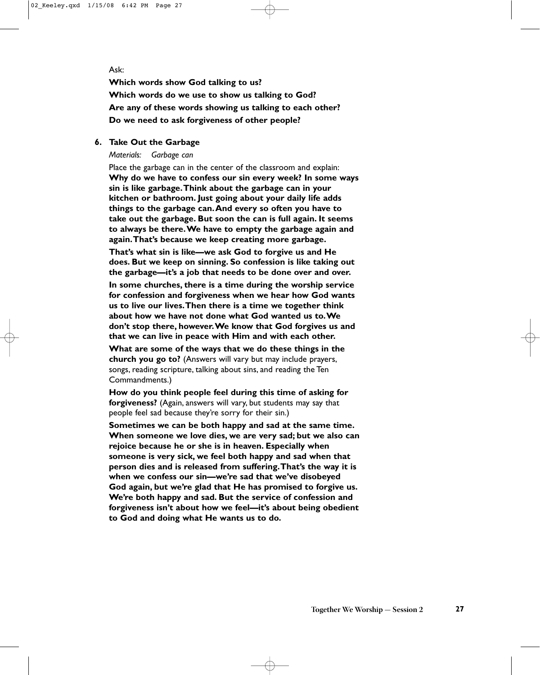#### Ask:

**Which words show God talking to us? Which words do we use to show us talking to God? Are any of these words showing us talking to each other? Do we need to ask forgiveness of other people?**

#### **6. Take Out the Garbage**

*Materials: Garbage can*

Place the garbage can in the center of the classroom and explain: **Why do we have to confess our sin every week? In some ways sin is like garbage.Think about the garbage can in your kitchen or bathroom. Just going about your daily life adds things to the garbage can.And every so often you have to take out the garbage. But soon the can is full again. It seems to always be there.We have to empty the garbage again and again.That's because we keep creating more garbage.**

**That's what sin is like—we ask God to forgive us and He does. But we keep on sinning. So confession is like taking out the garbage—it's a job that needs to be done over and over.**

**In some churches, there is a time during the worship service for confession and forgiveness when we hear how God wants us to live our lives.Then there is a time we together think about how we have not done what God wanted us to.We don't stop there, however.We know that God forgives us and that we can live in peace with Him and with each other.**

**What are some of the ways that we do these things in the church you go to?** (Answers will vary but may include prayers, songs, reading scripture, talking about sins, and reading the Ten Commandments.)

**How do you think people feel during this time of asking for forgiveness?** (Again, answers will vary, but students may say that people feel sad because they're sorry for their sin.)

**Sometimes we can be both happy and sad at the same time. When someone we love dies, we are very sad; but we also can rejoice because he or she is in heaven. Especially when someone is very sick, we feel both happy and sad when that person dies and is released from suffering.That's the way it is when we confess our sin—we're sad that we've disobeyed God again, but we're glad that He has promised to forgive us. We're both happy and sad. But the service of confession and forgiveness isn't about how we feel—it's about being obedient to God and doing what He wants us to do.**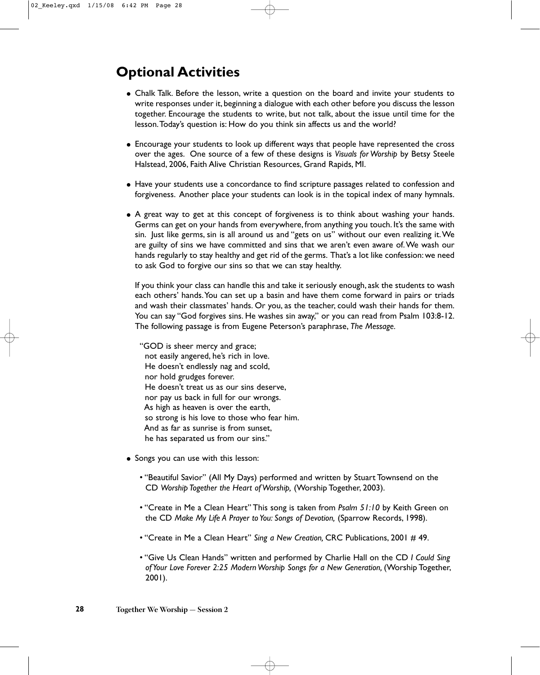# **Optional Activities**

- Chalk Talk. Before the lesson, write a question on the board and invite your students to write responses under it, beginning a dialogue with each other before you discuss the lesson together. Encourage the students to write, but not talk, about the issue until time for the lesson.Today's question is: How do you think sin affects us and the world?
- Encourage your students to look up different ways that people have represented the cross over the ages. One source of a few of these designs is *Visuals for Worship* by Betsy Steele Halstead, 2006, Faith Alive Christian Resources, Grand Rapids, MI.
- Have your students use a concordance to find scripture passages related to confession and forgiveness. Another place your students can look is in the topical index of many hymnals.
- A great way to get at this concept of forgiveness is to think about washing your hands. Germs can get on your hands from everywhere, from anything you touch. It's the same with sin. Just like germs, sin is all around us and "gets on us" without our even realizing it.We are guilty of sins we have committed and sins that we aren't even aware of.We wash our hands regularly to stay healthy and get rid of the germs. That's a lot like confession: we need to ask God to forgive our sins so that we can stay healthy.

If you think your class can handle this and take it seriously enough, ask the students to wash each others' hands.You can set up a basin and have them come forward in pairs or triads and wash their classmates' hands. Or you, as the teacher, could wash their hands for them. You can say "God forgives sins. He washes sin away," or you can read from Psalm 103:8-12. The following passage is from Eugene Peterson's paraphrase, *The Message.*

"GOD is sheer mercy and grace; not easily angered, he's rich in love. He doesn't endlessly nag and scold, nor hold grudges forever. He doesn't treat us as our sins deserve, nor pay us back in full for our wrongs. As high as heaven is over the earth, so strong is his love to those who fear him. And as far as sunrise is from sunset, he has separated us from our sins."

- Songs you can use with this lesson:
	- "Beautiful Savior" (All My Days) performed and written by Stuart Townsend on the CD *Worship Together the Heart of Worship,* (Worship Together, 2003).
	- "Create in Me a Clean Heart" This song is taken from *Psalm 51:10* by Keith Green on the CD *Make My Life A Prayer to You: Songs of Devotion,* (Sparrow Records, 1998).
	- "Create in Me a Clean Heart" *Sing a New Creation,* CRC Publications, 2001 # 49.
	- "Give Us Clean Hands" written and performed by Charlie Hall on the CD *I Could Sing of Your Love Forever 2:25 Modern Worship Songs for a New Generation,* (Worship Together, 2001).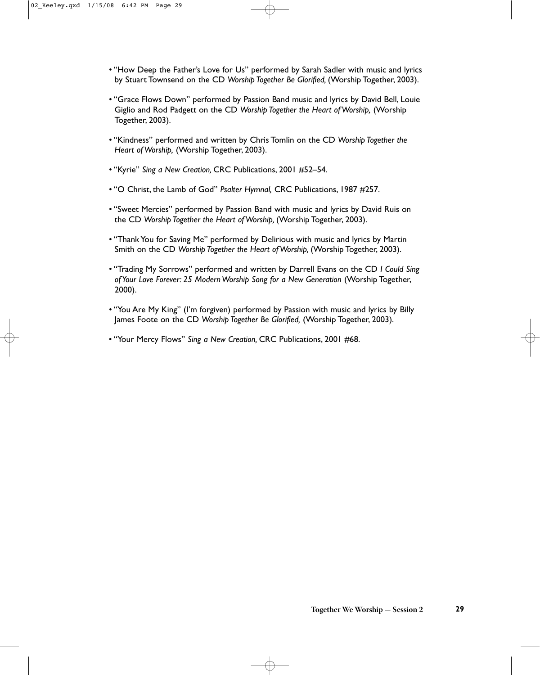- "How Deep the Father's Love for Us" performed by Sarah Sadler with music and lyrics by Stuart Townsend on the CD *Worship Together Be Glorified,* (Worship Together, 2003).
- "Grace Flows Down" performed by Passion Band music and lyrics by David Bell, Louie Giglio and Rod Padgett on the CD *Worship Together the Heart of Worship,* (Worship Together, 2003).
- "Kindness" performed and written by Chris Tomlin on the CD *Worship Together the Heart of Worship,* (Worship Together, 2003).
- "Kyrie" *Sing a New Creation,* CRC Publications, 2001 #52–54.
- "O Christ, the Lamb of God" *Psalter Hymnal,* CRC Publications, 1987 #257.
- "Sweet Mercies" performed by Passion Band with music and lyrics by David Ruis on the CD *Worship Together the Heart of Worship,* (Worship Together, 2003).
- "Thank You for Saving Me" performed by Delirious with music and lyrics by Martin Smith on the CD *Worship Together the Heart of Worship,* (Worship Together, 2003).
- "Trading My Sorrows" performed and written by Darrell Evans on the CD *I Could Sing* of Your Love Forever: 25 Modern Worship Song for a New Generation (Worship Together, 2000).
- "You Are My King" (I'm forgiven) performed by Passion with music and lyrics by Billy James Foote on the CD *Worship Together Be Glorified,* (Worship Together, 2003).
- "Your Mercy Flows" *Sing a New Creation,* CRC Publications, 2001 #68.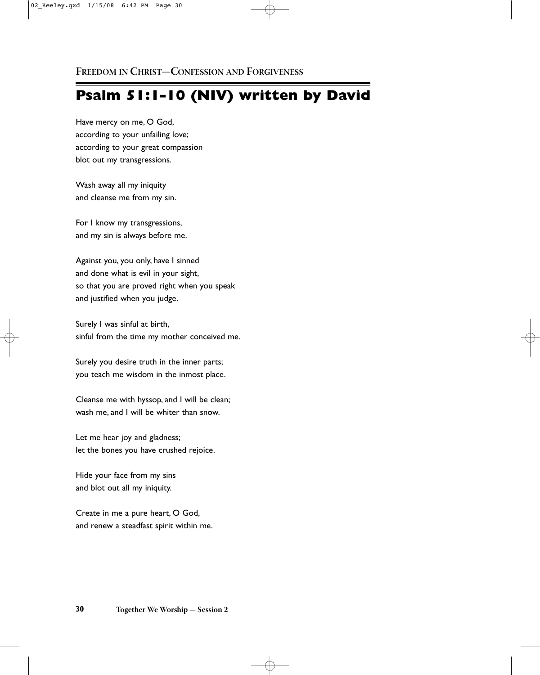## **Psalm 51:1-10 (NIV) written by David**

Have mercy on me, O God, according to your unfailing love; according to your great compassion blot out my transgressions.

Wash away all my iniquity and cleanse me from my sin.

For I know my transgressions, and my sin is always before me.

Against you, you only, have I sinned and done what is evil in your sight, so that you are proved right when you speak and justified when you judge.

Surely I was sinful at birth, sinful from the time my mother conceived me.

Surely you desire truth in the inner parts; you teach me wisdom in the inmost place.

Cleanse me with hyssop, and I will be clean; wash me, and I will be whiter than snow.

Let me hear joy and gladness; let the bones you have crushed rejoice.

Hide your face from my sins and blot out all my iniquity.

Create in me a pure heart, O God, and renew a steadfast spirit within me.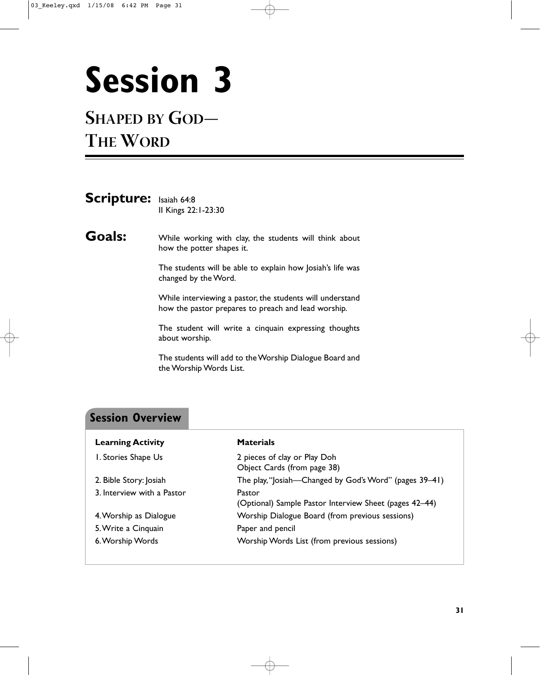# **Session 3**

## **SHAPED BY GOD— THE WORD**

| <b>Scripture:</b> Isaiah 64:8 | Il Kings 22:1-23:30 |
|-------------------------------|---------------------|
|                               |                     |

Goals: While working with clay, the students will think about how the potter shapes it.

> The students will be able to explain how Josiah's life was changed by the Word.

> While interviewing a pastor, the students will understand how the pastor prepares to preach and lead worship.

> The student will write a cinquain expressing thoughts about worship.

> The students will add to the Worship Dialogue Board and the Worship Words List.

### **Session Overview**

| <b>Learning Activity</b>   | <b>Materials</b>                                                 |
|----------------------------|------------------------------------------------------------------|
| I. Stories Shape Us        | 2 pieces of clay or Play Doh<br>Object Cards (from page 38)      |
| 2. Bible Story: Josiah     | The play, "Josiah-Changed by God's Word" (pages 39-41)           |
| 3. Interview with a Pastor | Pastor<br>(Optional) Sample Pastor Interview Sheet (pages 42–44) |
| 4. Worship as Dialogue     | Worship Dialogue Board (from previous sessions)                  |
| 5. Write a Cinquain        | Paper and pencil                                                 |
| 6. Worship Words           | Worship Words List (from previous sessions)                      |
|                            |                                                                  |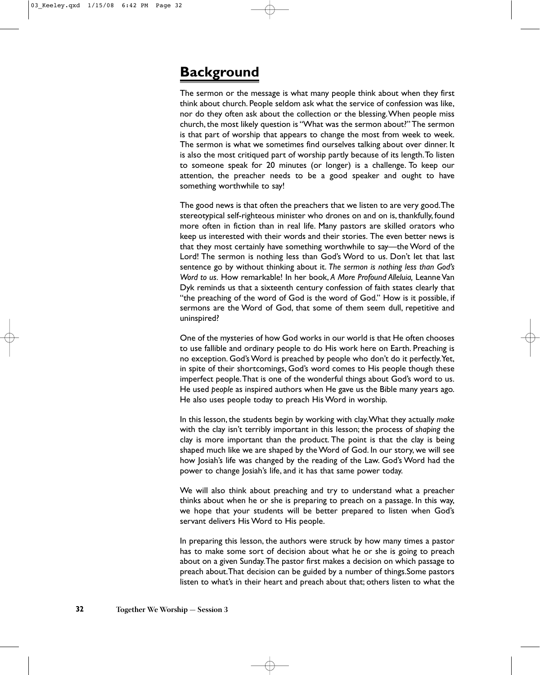## **Background**

The sermon or the message is what many people think about when they first think about church. People seldom ask what the service of confession was like, nor do they often ask about the collection or the blessing.When people miss church, the most likely question is "What was the sermon about?" The sermon is that part of worship that appears to change the most from week to week. The sermon is what we sometimes find ourselves talking about over dinner. It is also the most critiqued part of worship partly because of its length.To listen to someone speak for 20 minutes (or longer) is a challenge. To keep our attention, the preacher needs to be a good speaker and ought to have something worthwhile to say!

The good news is that often the preachers that we listen to are very good.The stereotypical self-righteous minister who drones on and on is, thankfully, found more often in fiction than in real life. Many pastors are skilled orators who keep us interested with their words and their stories. The even better news is that they most certainly have something worthwhile to say—the Word of the Lord! The sermon is nothing less than God's Word to us. Don't let that last sentence go by without thinking about it. *The sermon is nothing less than God's Word to us.* How remarkable! In her book, *A More Profound Alleluia,* Leanne Van Dyk reminds us that a sixteenth century confession of faith states clearly that "the preaching of the word of God is the word of God." How is it possible, if sermons are the Word of God, that some of them seem dull, repetitive and uninspired?

One of the mysteries of how God works in our world is that He often chooses to use fallible and ordinary people to do His work here on Earth. Preaching is no exception. God's Word is preached by people who don't do it perfectly.Yet, in spite of their shortcomings, God's word comes to His people though these imperfect people.That is one of the wonderful things about God's word to us. He used *people* as inspired authors when He gave us the Bible many years ago. He also uses people today to preach His Word in worship.

In this lesson, the students begin by working with clay.What they actually *make* with the clay isn't terribly important in this lesson; the process of *shaping* the clay is more important than the product. The point is that the clay is being shaped much like we are shaped by the Word of God. In our story, we will see how Josiah's life was changed by the reading of the Law. God's Word had the power to change Josiah's life, and it has that same power today.

We will also think about preaching and try to understand what a preacher thinks about when he or she is preparing to preach on a passage. In this way, we hope that your students will be better prepared to listen when God's servant delivers His Word to His people.

In preparing this lesson, the authors were struck by how many times a pastor has to make some sort of decision about what he or she is going to preach about on a given Sunday.The pastor first makes a decision on which passage to preach about.That decision can be guided by a number of things.Some pastors listen to what's in their heart and preach about that; others listen to what the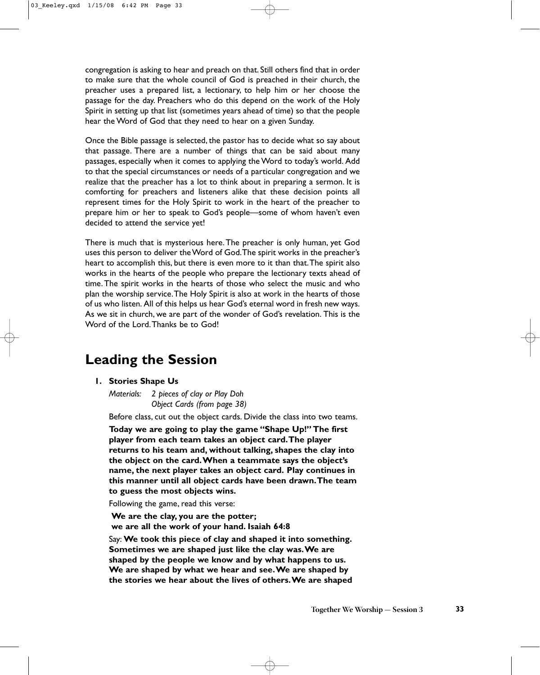congregation is asking to hear and preach on that. Still others find that in order to make sure that the whole council of God is preached in their church, the preacher uses a prepared list, a lectionary, to help him or her choose the passage for the day. Preachers who do this depend on the work of the Holy Spirit in setting up that list (sometimes years ahead of time) so that the people hear the Word of God that they need to hear on a given Sunday.

Once the Bible passage is selected, the pastor has to decide what so say about that passage. There are a number of things that can be said about many passages, especially when it comes to applying the Word to today's world. Add to that the special circumstances or needs of a particular congregation and we realize that the preacher has a lot to think about in preparing a sermon. It is comforting for preachers and listeners alike that these decision points all represent times for the Holy Spirit to work in the heart of the preacher to prepare him or her to speak to God's people—some of whom haven't even decided to attend the service yet!

There is much that is mysterious here.The preacher is only human, yet God uses this person to deliver the Word of God.The spirit works in the preacher's heart to accomplish this, but there is even more to it than that.The spirit also works in the hearts of the people who prepare the lectionary texts ahead of time. The spirit works in the hearts of those who select the music and who plan the worship service.The Holy Spirit is also at work in the hearts of those of us who listen. All of this helps us hear God's eternal word in fresh new ways. As we sit in church, we are part of the wonder of God's revelation. This is the Word of the Lord.Thanks be to God!

### **Leading the Session**

**1. Stories Shape Us**

*Materials: 2 pieces of clay or Play Doh Object Cards (from page 38)*

Before class, cut out the object cards. Divide the class into two teams.

**Today we are going to play the game "Shape Up!" The first player from each team takes an object card.The player returns to his team and, without talking, shapes the clay into the object on the card.When a teammate says the object's name, the next player takes an object card. Play continues in this manner until all object cards have been drawn.The team to guess the most objects wins.**

Following the game, read this verse:

**We are the clay, you are the potter; we are all the work of your hand. Isaiah 64:8**

Say: **We took this piece of clay and shaped it into something. Sometimes we are shaped just like the clay was.We are shaped by the people we know and by what happens to us. We are shaped by what we hear and see.We are shaped by the stories we hear about the lives of others.We are shaped**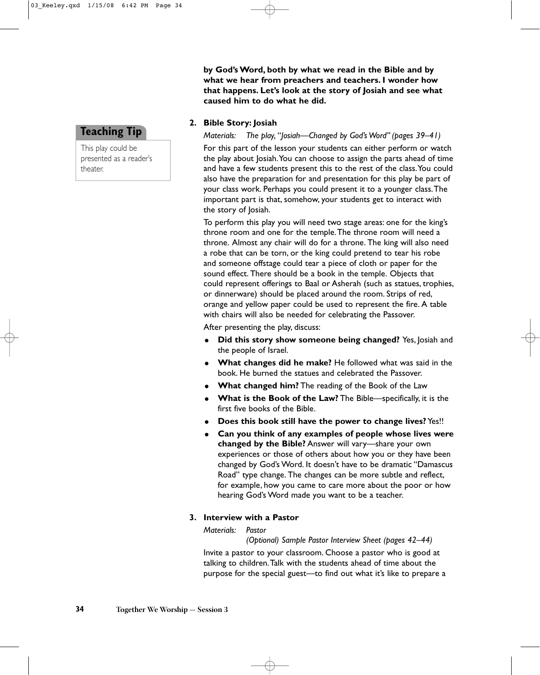**by God's Word, both by what we read in the Bible and by what we hear from preachers and teachers. I wonder how that happens. Let's look at the story of Josiah and see what caused him to do what he did.**

#### **2. Bible Story: Josiah**

This play could be presented as a reader's

**Teaching Tip**

theater.

*Materials: The play,* "*Josiah—Changed by God's Word" (pages 39–41)*

For this part of the lesson your students can either perform or watch the play about Josiah.You can choose to assign the parts ahead of time and have a few students present this to the rest of the class.You could also have the preparation for and presentation for this play be part of your class work. Perhaps you could present it to a younger class.The important part is that, somehow, your students get to interact with the story of Josiah.

To perform this play you will need two stage areas: one for the king's throne room and one for the temple.The throne room will need a throne. Almost any chair will do for a throne. The king will also need a robe that can be torn, or the king could pretend to tear his robe and someone offstage could tear a piece of cloth or paper for the sound effect. There should be a book in the temple. Objects that could represent offerings to Baal or Asherah (such as statues, trophies, or dinnerware) should be placed around the room. Strips of red, orange and yellow paper could be used to represent the fire. A table with chairs will also be needed for celebrating the Passover.

After presenting the play, discuss:

- $\bullet$  **Did this story show someone being changed?** Yes, Josiah and the people of Israel.
- **What changes did he make?** He followed what was said in the book. He burned the statues and celebrated the Passover.
- **What changed him?** The reading of the Book of the Law
- **What is the Book of the Law?** The Bible—specifically, it is the first five books of the Bible.
- **Does this book still have the power to change lives?** Yes!!
- $\bullet$  **Can you think of any examples of people whose lives were changed by the Bible?** Answer will vary—share your own experiences or those of others about how you or they have been changed by God's Word. It doesn't have to be dramatic "Damascus Road" type change. The changes can be more subtle and reflect, for example, how you came to care more about the poor or how hearing God's Word made you want to be a teacher.

#### **3. Interview with a Pastor**

#### *Materials: Pastor*

*(Optional) Sample Pastor Interview Sheet (pages 42–44)*

Invite a pastor to your classroom. Choose a pastor who is good at talking to children.Talk with the students ahead of time about the purpose for the special guest—to find out what it's like to prepare a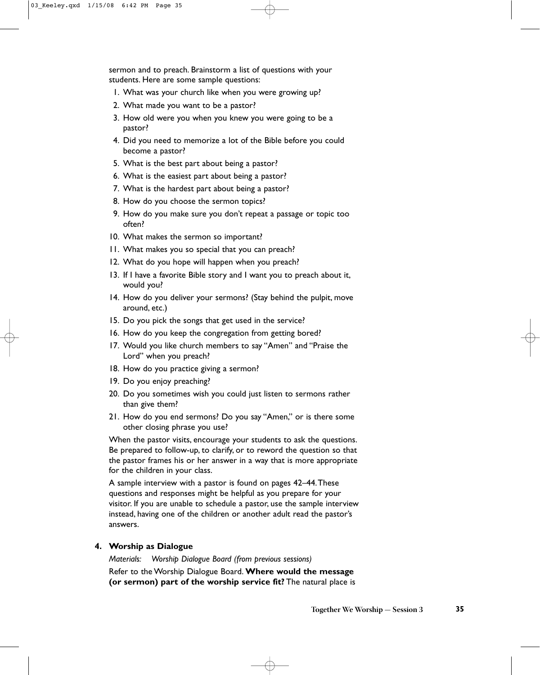sermon and to preach. Brainstorm a list of questions with your students. Here are some sample questions:

- 1. What was your church like when you were growing up?
- 2. What made you want to be a pastor?
- 3. How old were you when you knew you were going to be a pastor?
- 4. Did you need to memorize a lot of the Bible before you could become a pastor?
- 5. What is the best part about being a pastor?
- 6. What is the easiest part about being a pastor?
- 7. What is the hardest part about being a pastor?
- 8. How do you choose the sermon topics?
- 9. How do you make sure you don't repeat a passage or topic too often?
- 10. What makes the sermon so important?
- 11. What makes you so special that you can preach?
- 12. What do you hope will happen when you preach?
- 13. If I have a favorite Bible story and I want you to preach about it, would you?
- 14. How do you deliver your sermons? (Stay behind the pulpit, move around, etc.)
- 15. Do you pick the songs that get used in the service?
- 16. How do you keep the congregation from getting bored?
- 17. Would you like church members to say "Amen" and "Praise the Lord" when you preach?
- 18. How do you practice giving a sermon?
- 19. Do you enjoy preaching?
- 20. Do you sometimes wish you could just listen to sermons rather than give them?
- 21. How do you end sermons? Do you say "Amen," or is there some other closing phrase you use?

When the pastor visits, encourage your students to ask the questions. Be prepared to follow-up, to clarify, or to reword the question so that the pastor frames his or her answer in a way that is more appropriate for the children in your class.

A sample interview with a pastor is found on pages 42–44.These questions and responses might be helpful as you prepare for your visitor. If you are unable to schedule a pastor, use the sample interview instead, having one of the children or another adult read the pastor's answers.

#### **4. Worship as Dialogue**

*Materials: Worship Dialogue Board (from previous sessions)* Refer to the Worship Dialogue Board. **Where would the message (or sermon) part of the worship service fit?** The natural place is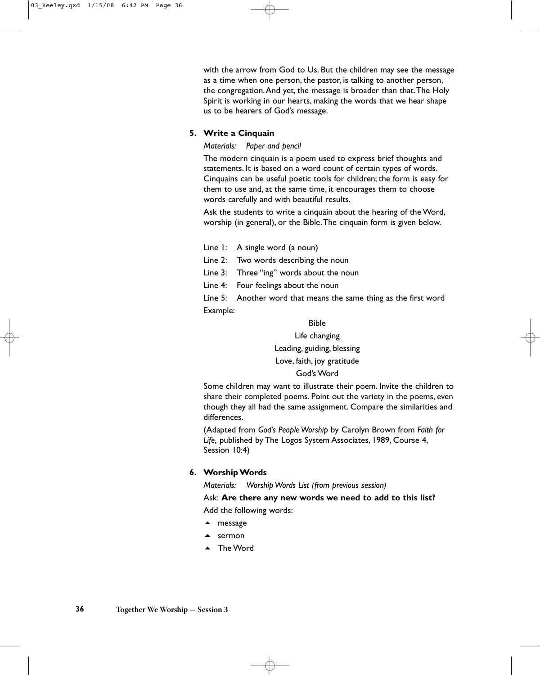with the arrow from God to Us. But the children may see the message as a time when one person, the pastor, is talking to another person, the congregation.And yet, the message is broader than that.The Holy Spirit is working in our hearts, making the words that we hear shape us to be hearers of God's message.

#### **5. Write a Cinquain**

#### *Materials: Paper and pencil*

The modern cinquain is a poem used to express brief thoughts and statements. It is based on a word count of certain types of words. Cinquains can be useful poetic tools for children; the form is easy for them to use and, at the same time, it encourages them to choose words carefully and with beautiful results.

Ask the students to write a cinquain about the hearing of the Word, worship (in general), or the Bible.The cinquain form is given below.

- Line 1: A single word (a noun)
- Line 2: Two words describing the noun
- Line 3: Three "ing" words about the noun
- Line 4: Four feelings about the noun

Line 5: Another word that means the same thing as the first word Example:

#### Bible

#### Life changing

Leading, guiding, blessing

Love, faith, joy gratitude

#### God's Word

Some children may want to illustrate their poem. Invite the children to share their completed poems. Point out the variety in the poems, even though they all had the same assignment. Compare the similarities and differences.

(Adapted from *God's People Worship* by Carolyn Brown from *Faith for Life,* published by The Logos System Associates, 1989, Course 4, Session 10:4)

#### **6. Worship Words**

*Materials: Worship Words List (from previous session)*

Ask: **Are there any new words we need to add to this list?**  Add the following words:

- ▲ message
- $\triangle$  sermon
- ▲ The Word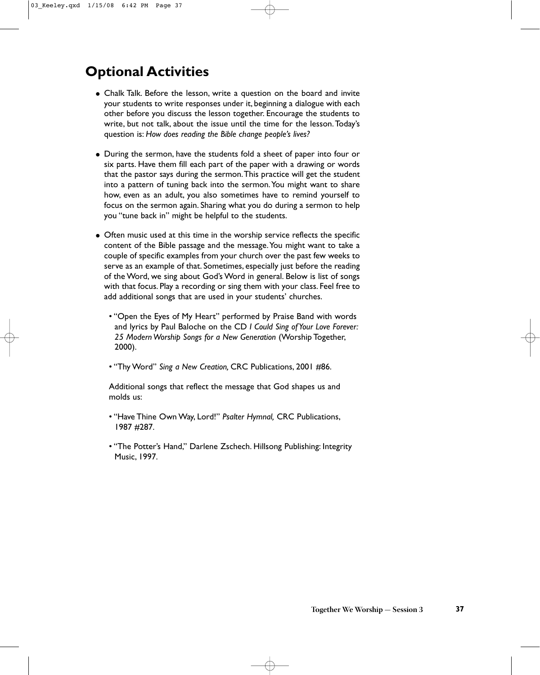## **Optional Activities**

- Chalk Talk. Before the lesson, write a question on the board and invite your students to write responses under it, beginning a dialogue with each other before you discuss the lesson together. Encourage the students to write, but not talk, about the issue until the time for the lesson.Today's question is: *How does reading the Bible change people's lives?*
- During the sermon, have the students fold a sheet of paper into four or six parts. Have them fill each part of the paper with a drawing or words that the pastor says during the sermon.This practice will get the student into a pattern of tuning back into the sermon.You might want to share how, even as an adult, you also sometimes have to remind yourself to focus on the sermon again. Sharing what you do during a sermon to help you "tune back in" might be helpful to the students.
- Often music used at this time in the worship service reflects the specific content of the Bible passage and the message.You might want to take a couple of specific examples from your church over the past few weeks to serve as an example of that. Sometimes, especially just before the reading of the Word, we sing about God's Word in general. Below is list of songs with that focus. Play a recording or sing them with your class. Feel free to add additional songs that are used in your students' churches.
	- "Open the Eyes of My Heart" performed by Praise Band with words and lyrics by Paul Baloche on the CD *I Could Sing of Your Love Forever: 25 Modern Worship Songs for a New Generation* (Worship Together, 2000).
	- "Thy Word" *Sing a New Creation,* CRC Publications, 2001 #86.

Additional songs that reflect the message that God shapes us and molds us:

- "Have Thine Own Way, Lord!" *Psalter Hymnal,* CRC Publications, 1987 #287.
- "The Potter's Hand," Darlene Zschech. Hillsong Publishing: Integrity Music, 1997.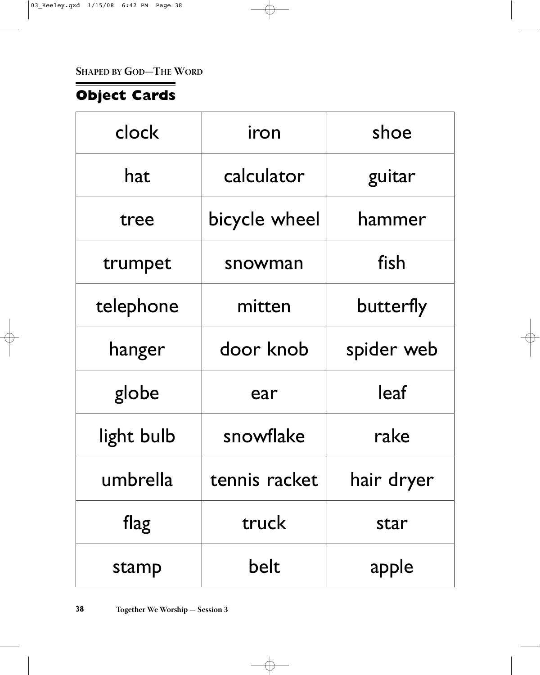**SHAPED BY GOD—THE WORD**

## **Object Cards**

| clock      | iron          | shoe       |  |
|------------|---------------|------------|--|
| hat        | calculator    | guitar     |  |
| tree       | bicycle wheel | hammer     |  |
| trumpet    | snowman       | fish       |  |
| telephone  | mitten        | butterfly  |  |
| hanger     | door knob     | spider web |  |
| globe      | ear           | leaf       |  |
| light bulb | snowflake     | rake       |  |
| umbrella   | tennis racket | hair dryer |  |
| flag       | truck         | star       |  |
| stamp      | belt          | apple      |  |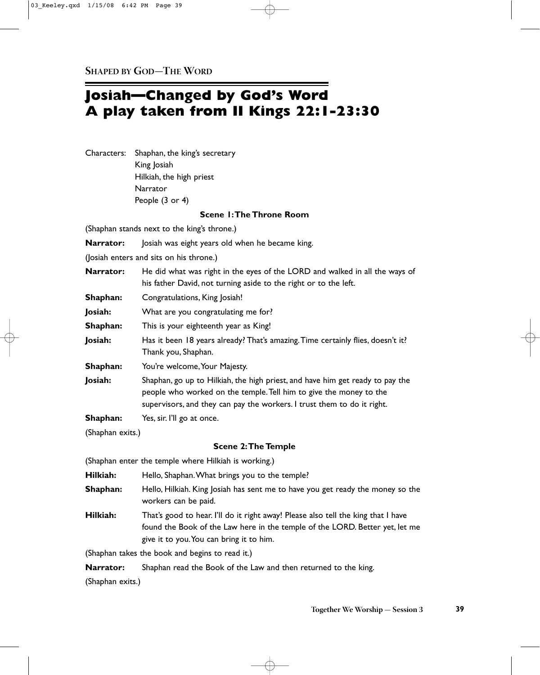## **Josiah—Changed by God's Word A play taken from II Kings 22:1-23:30**

Characters: Shaphan, the king's secretary King Josiah Hilkiah, the high priest Narrator People (3 or 4)

#### **Scene 1:The Throne Room**

(Shaphan stands next to the king's throne.) **Narrator:** Josiah was eight years old when he became king. (Josiah enters and sits on his throne.) **Narrator:** He did what was right in the eyes of the LORD and walked in all the ways of his father David, not turning aside to the right or to the left. **Shaphan:** Congratulations, King Josiah! **Josiah:** What are you congratulating me for? **Shaphan:** This is your eighteenth year as King! **Josiah:** Has it been 18 years already? That's amazing.Time certainly flies, doesn't it? Thank you, Shaphan. **Shaphan:** You're welcome, Your Majesty. **Josiah:** Shaphan, go up to Hilkiah, the high priest, and have him get ready to pay the people who worked on the temple.Tell him to give the money to the supervisors, and they can pay the workers. I trust them to do it right. **Shaphan:** Yes, sir. I'll go at once. (Shaphan exits.) **Scene 2:The Temple** (Shaphan enter the temple where Hilkiah is working.) **Hilkiah:** Hello, Shaphan. What brings you to the temple? **Shaphan:** Hello, Hilkiah. King Josiah has sent me to have you get ready the money so the workers can be paid. **Hilkiah:** That's good to hear. I'll do it right away! Please also tell the king that I have found the Book of the Law here in the temple of the LORD. Better yet, let me give it to you.You can bring it to him.

(Shaphan takes the book and begins to read it.)

**Narrator:** Shaphan read the Book of the Law and then returned to the king.

(Shaphan exits.)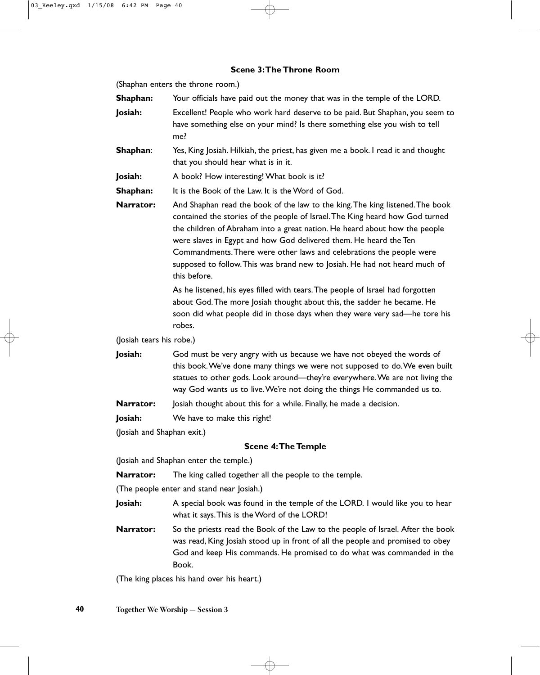#### **Scene 3:The Throne Room**

(Shaphan enters the throne room.)

| Shaphan:                 | Your officials have paid out the money that was in the temple of the LORD.                                                                                                                                                                                                                                                                                                                                                                                                             |
|--------------------------|----------------------------------------------------------------------------------------------------------------------------------------------------------------------------------------------------------------------------------------------------------------------------------------------------------------------------------------------------------------------------------------------------------------------------------------------------------------------------------------|
| Josiah:                  | Excellent! People who work hard deserve to be paid. But Shaphan, you seem to<br>have something else on your mind? Is there something else you wish to tell<br>me?                                                                                                                                                                                                                                                                                                                      |
| Shaphan:                 | Yes, King Josiah. Hilkiah, the priest, has given me a book. I read it and thought<br>that you should hear what is in it.                                                                                                                                                                                                                                                                                                                                                               |
| Josiah:                  | A book? How interesting! What book is it?                                                                                                                                                                                                                                                                                                                                                                                                                                              |
| Shaphan:                 | It is the Book of the Law. It is the Word of God.                                                                                                                                                                                                                                                                                                                                                                                                                                      |
| Narrator:                | And Shaphan read the book of the law to the king. The king listened. The book<br>contained the stories of the people of Israel. The King heard how God turned<br>the children of Abraham into a great nation. He heard about how the people<br>were slaves in Egypt and how God delivered them. He heard the Ten<br>Commandments. There were other laws and celebrations the people were<br>supposed to follow. This was brand new to Josiah. He had not heard much of<br>this before. |
|                          | As he listened, his eyes filled with tears. The people of Israel had forgotten<br>about God. The more Josiah thought about this, the sadder he became. He<br>soon did what people did in those days when they were very sad—he tore his<br>robes.                                                                                                                                                                                                                                      |
| (Josiah tears his robe.) |                                                                                                                                                                                                                                                                                                                                                                                                                                                                                        |
| Josiah:                  | God must be very angry with us because we have not obeyed the words of<br>this book. We've done many things we were not supposed to do. We even built<br>statues to other gods. Look around—they're everywhere. We are not living the<br>way God wants us to live. We're not doing the things He commanded us to.                                                                                                                                                                      |

**Narrator:** Josiah thought about this for a while. Finally, he made a decision.

**Josiah:** We have to make this right!

(Josiah and Shaphan exit.)

#### **Scene 4:The Temple**

(Josiah and Shaphan enter the temple.)

**Narrator:** The king called together all the people to the temple.

(The people enter and stand near Josiah.)

- **Josiah:** A special book was found in the temple of the LORD. I would like you to hear what it says.This is the Word of the LORD!
- **Narrator:** So the priests read the Book of the Law to the people of Israel. After the book was read, King Josiah stood up in front of all the people and promised to obey God and keep His commands. He promised to do what was commanded in the Book.

(The king places his hand over his heart.)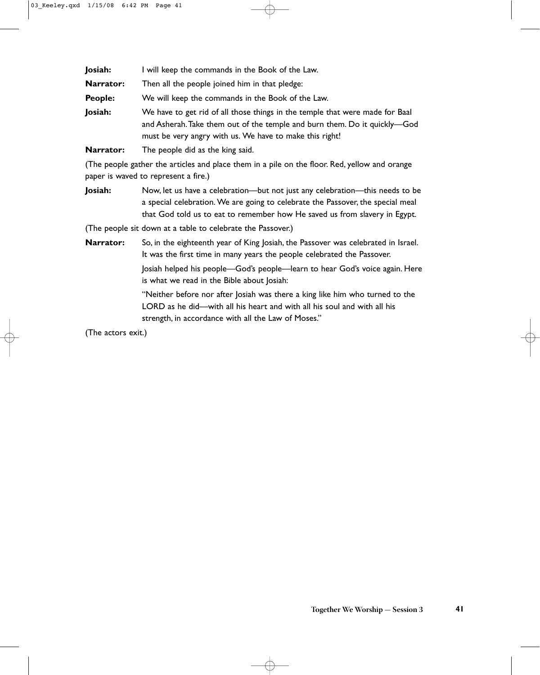| Josiah:   | I will keep the commands in the Book of the Law.                                                                                                                                                                     |
|-----------|----------------------------------------------------------------------------------------------------------------------------------------------------------------------------------------------------------------------|
| Narrator: | Then all the people joined him in that pledge:                                                                                                                                                                       |
| People:   | We will keep the commands in the Book of the Law.                                                                                                                                                                    |
| Josiah:   | We have to get rid of all those things in the temple that were made for Baal<br>and Asherah. Take them out of the temple and burn them. Do it quickly—God<br>must be very angry with us. We have to make this right! |

**Narrator:** The people did as the king said.

(The people gather the articles and place them in a pile on the floor. Red, yellow and orange paper is waved to represent a fire.)

**Josiah:** Now, let us have a celebration—but not just any celebration—this needs to be a special celebration. We are going to celebrate the Passover, the special meal that God told us to eat to remember how He saved us from slavery in Egypt.

(The people sit down at a table to celebrate the Passover.)

**Narrator:** So, in the eighteenth year of King Josiah, the Passover was celebrated in Israel. It was the first time in many years the people celebrated the Passover.

Josiah helped his people—God's people—learn to hear God's voice again. Here is what we read in the Bible about Josiah:

"Neither before nor after Josiah was there a king like him who turned to the LORD as he did—with all his heart and with all his soul and with all his strength, in accordance with all the Law of Moses."

(The actors exit.)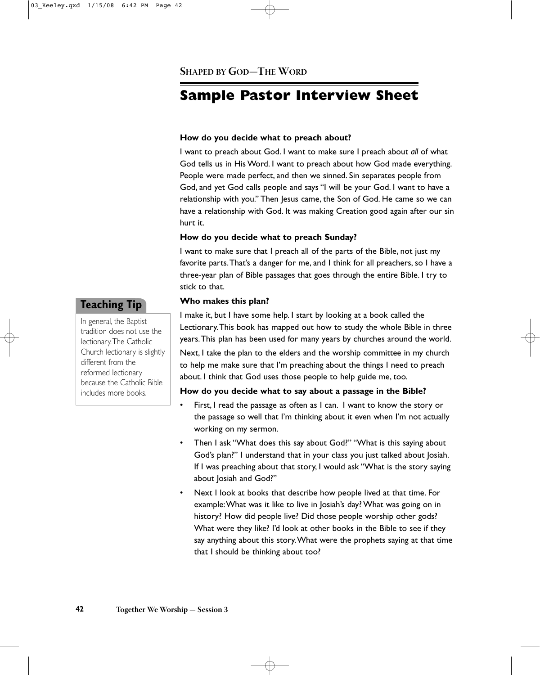## **Sample Pastor Interview Sheet**

#### **How do you decide what to preach about?**

I want to preach about God. I want to make sure I preach about *all* of what God tells us in His Word. I want to preach about how God made everything. People were made perfect, and then we sinned. Sin separates people from God, and yet God calls people and says "I will be your God. I want to have a relationship with you." Then Jesus came, the Son of God. He came so we can have a relationship with God. It was making Creation good again after our sin hurt it.

#### **How do you decide what to preach Sunday?**

I want to make sure that I preach all of the parts of the Bible, not just my favorite parts.That's a danger for me, and I think for all preachers, so I have a three-year plan of Bible passages that goes through the entire Bible. I try to stick to that.

#### **Who makes this plan?**

I make it, but I have some help. I start by looking at a book called the Lectionary.This book has mapped out how to study the whole Bible in three years.This plan has been used for many years by churches around the world.

Next, I take the plan to the elders and the worship committee in my church to help me make sure that I'm preaching about the things I need to preach about. I think that God uses those people to help guide me, too.

#### **How do you decide what to say about a passage in the Bible?**

- First, I read the passage as often as I can. I want to know the story or the passage so well that I'm thinking about it even when I'm not actually working on my sermon.
- Then I ask "What does this say about God?" "What is this saying about God's plan?" I understand that in your class you just talked about Josiah. If I was preaching about that story, I would ask "What is the story saying about Josiah and God?"
- Next I look at books that describe how people lived at that time. For example:What was it like to live in Josiah's day? What was going on in history? How did people live? Did those people worship other gods? What were they like? I'd look at other books in the Bible to see if they say anything about this story.What were the prophets saying at that time that I should be thinking about too?

#### **Teaching Tip**

In general, the Baptist tradition does not use the lectionary.The Catholic Church lectionary is slightly different from the reformed lectionary because the Catholic Bible includes more books.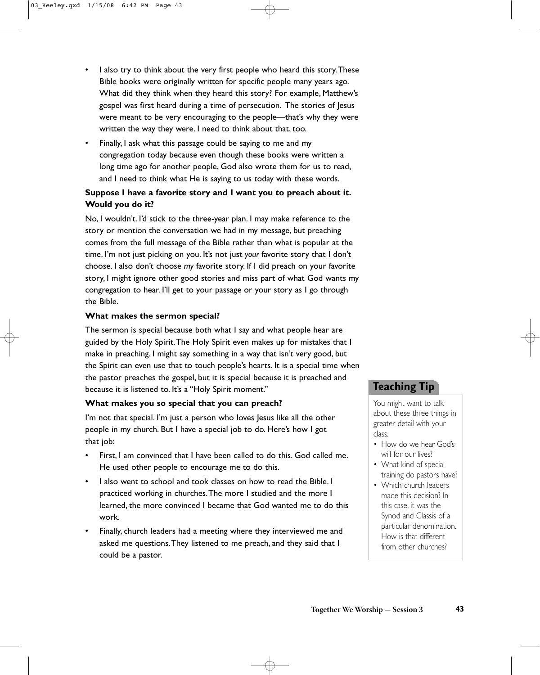- I also try to think about the very first people who heard this story. These Bible books were originally written for specific people many years ago. What did they think when they heard this story? For example, Matthew's gospel was first heard during a time of persecution. The stories of Jesus were meant to be very encouraging to the people—that's why they were written the way they were. I need to think about that, too.
- Finally, I ask what this passage could be saying to me and my congregation today because even though these books were written a long time ago for another people, God also wrote them for us to read, and I need to think what He is saying to us today with these words.

#### **Suppose I have a favorite story and I want you to preach about it. Would you do it?**

No, I wouldn't. I'd stick to the three-year plan. I may make reference to the story or mention the conversation we had in my message, but preaching comes from the full message of the Bible rather than what is popular at the time. I'm not just picking on you. It's not just *your* favorite story that I don't choose. I also don't choose *my* favorite story. If I did preach on your favorite story, I might ignore other good stories and miss part of what God wants my congregation to hear. I'll get to your passage or your story as I go through the Bible.

#### **What makes the sermon special?**

The sermon is special because both what I say and what people hear are guided by the Holy Spirit.The Holy Spirit even makes up for mistakes that I make in preaching. I might say something in a way that isn't very good, but the Spirit can even use that to touch people's hearts. It is a special time when the pastor preaches the gospel, but it is special because it is preached and because it is listened to. It's a "Holy Spirit moment."

#### **What makes you so special that you can preach?**

I'm not that special. I'm just a person who loves lesus like all the other people in my church. But I have a special job to do. Here's how I got that job:

- First, I am convinced that I have been called to do this. God called me. He used other people to encourage me to do this.
- I also went to school and took classes on how to read the Bible. I practiced working in churches.The more I studied and the more I learned, the more convinced I became that God wanted me to do this work.
- Finally, church leaders had a meeting where they interviewed me and asked me questions.They listened to me preach, and they said that I could be a pastor.

#### **Teaching Tip**

You might want to talk about these three things in greater detail with your class.

- How do we hear God's will for our lives?
- What kind of special training do pastors have?
- Which church leaders made this decision? In this case, it was the Synod and Classis of a particular denomination. How is that different from other churches?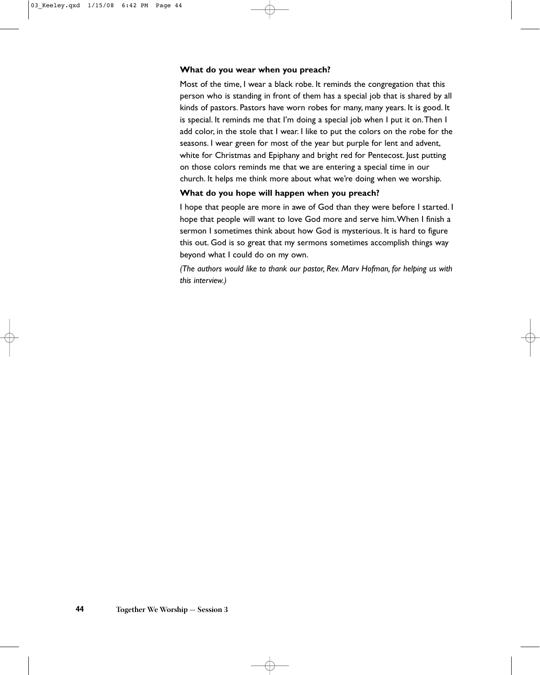#### **What do you wear when you preach?**

Most of the time, I wear a black robe. It reminds the congregation that this person who is standing in front of them has a special job that is shared by all kinds of pastors. Pastors have worn robes for many, many years. It is good. It is special. It reminds me that I'm doing a special job when I put it on.Then I add color, in the stole that I wear. I like to put the colors on the robe for the seasons. I wear green for most of the year but purple for lent and advent, white for Christmas and Epiphany and bright red for Pentecost. Just putting on those colors reminds me that we are entering a special time in our church. It helps me think more about what we're doing when we worship.

#### **What do you hope will happen when you preach?**

I hope that people are more in awe of God than they were before I started. I hope that people will want to love God more and serve him.When I finish a sermon I sometimes think about how God is mysterious. It is hard to figure this out. God is so great that my sermons sometimes accomplish things way beyond what I could do on my own.

*(The authors would like to thank our pastor, Rev. Marv Hofman, for helping us with this interview.)*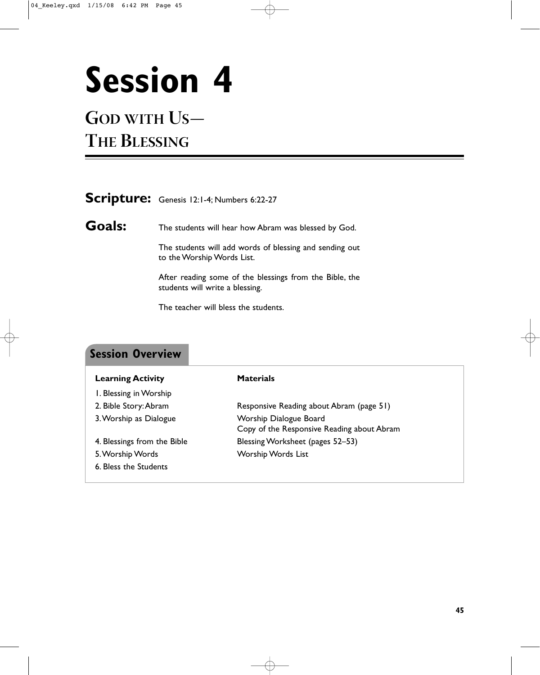# **Session 4**

## **GOD WITH US— THE BLESSING**

the control of the control of the control of the control of

|               | Scripture: Genesis 12:1-4; Numbers 6:22-27                                                 |  |
|---------------|--------------------------------------------------------------------------------------------|--|
| <b>Goals:</b> | The students will hear how Abram was blessed by God.                                       |  |
|               | The students will add words of blessing and sending out<br>to the Worship Words List.      |  |
|               | After reading some of the blessings from the Bible, the<br>students will write a blessing. |  |

The teacher will bless the students.

| <b>Session Overview</b>     |                                                                      |
|-----------------------------|----------------------------------------------------------------------|
| <b>Learning Activity</b>    | <b>Materials</b>                                                     |
| I. Blessing in Worship      |                                                                      |
| 2. Bible Story: Abram       | Responsive Reading about Abram (page 51)                             |
| 3. Worship as Dialogue      | Worship Dialogue Board<br>Copy of the Responsive Reading about Abram |
| 4. Blessings from the Bible | Blessing Worksheet (pages 52–53)                                     |
| 5. Worship Words            | Worship Words List                                                   |
| 6. Bless the Students       |                                                                      |

**45**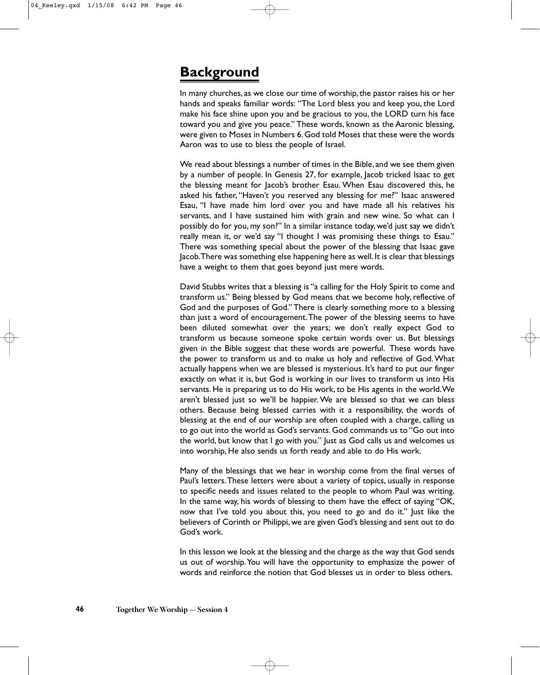## **Background**

In many churches, as we close our time of worship, the pastor raises his or her hands and speaks familiar words: "The Lord bless you and keep you, the Lord make his face shine upon you and be gracious to you, the LORD turn his face toward you and give you peace." These words, known as the Aaronic blessing, were given to Moses in Numbers 6.God told Moses that these were the words Aaron was to use to bless the people of Israel.

We read about blessings a number of times in the Bible, and we see them given by a number of people. In Genesis 27, for example, Jacob tricked Isaac to get the blessing meant for Jacob's brother Esau. When Esau discovered this, he asked his father, "Haven't you reserved any blessing for me?" Isaac answered Esau, "I have made him lord over you and have made all his relatives his servants, and I have sustained him with grain and new wine. So what can I possibly do for you, my son?" In a similar instance today, we'd just say we didn't really mean it, or we'd say "I thought I was promising these things to Esau." There was something special about the power of the blessing that Isaac gave Jacob.There was something else happening here as well. It is clear that blessings have a weight to them that goes beyond just mere words.

David Stubbs writes that a blessing is "a calling for the Holy Spirit to come and transform us." Being blessed by God means that we become holy, reflective of God and the purposes of God." There is clearly something more to a blessing than just a word of encouragement.The power of the blessing seems to have been diluted somewhat over the years; we don't really expect God to transform us because someone spoke certain words over us. But blessings given in the Bible suggest that these words are powerful. These words have the power to transform us and to make us holy and reflective of God.What actually happens when we are blessed is mysterious. It's hard to put our finger exactly on what it is, but God is working in our lives to transform us into His servants. He is preparing us to do His work, to be His agents in the world.We aren't blessed just so we'll be happier. We are blessed so that we can bless others. Because being blessed carries with it a responsibility, the words of blessing at the end of our worship are often coupled with a charge, calling us to go out into the world as God's servants. God commands us to "Go out into the world, but know that I go with you." Just as God calls us and welcomes us into worship, He also sends us forth ready and able to do His work.

Many of the blessings that we hear in worship come from the final verses of Paul's letters.These letters were about a variety of topics, usually in response to specific needs and issues related to the people to whom Paul was writing. In the same way, his words of blessing to them have the effect of saying "OK, now that I've told you about this, you need to go and do it." Just like the believers of Corinth or Philippi, we are given God's blessing and sent out to do God's work.

In this lesson we look at the blessing and the charge as the way that God sends us out of worship.You will have the opportunity to emphasize the power of words and reinforce the notion that God blesses us in order to bless others.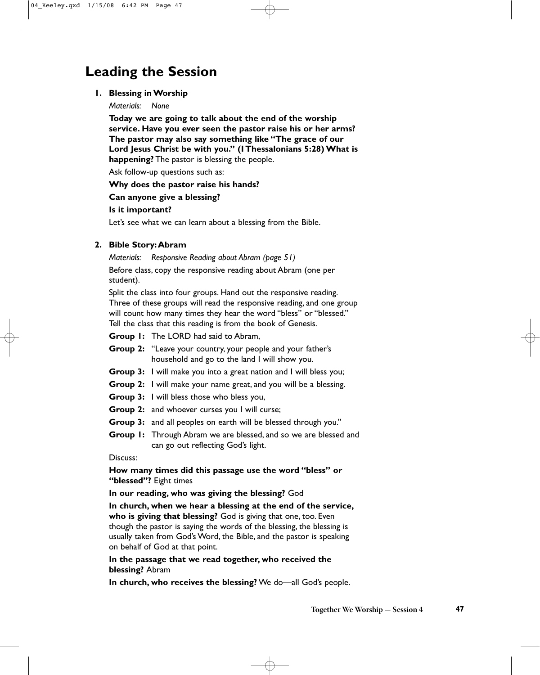## **Leading the Session**

#### **1. Blessing in Worship**

*Materials: None*

**Today we are going to talk about the end of the worship service. Have you ever seen the pastor raise his or her arms? The pastor may also say something like "The grace of our Lord Jesus Christ be with you." (I Thessalonians 5:28) What is happening?** The pastor is blessing the people.

Ask follow-up questions such as:

#### **Why does the pastor raise his hands?**

#### **Can anyone give a blessing?**

#### **Is it important?**

Let's see what we can learn about a blessing from the Bible.

#### **2. Bible Story:Abram**

*Materials: Responsive Reading about Abram (page 51)*

Before class, copy the responsive reading about Abram (one per student).

Split the class into four groups. Hand out the responsive reading. Three of these groups will read the responsive reading, and one group will count how many times they hear the word "bless" or "blessed." Tell the class that this reading is from the book of Genesis.

**Group 1:** The LORD had said to Abram,

- **Group 2:** "Leave your country, your people and your father's household and go to the land I will show you.
- **Group 3:** I will make you into a great nation and I will bless you;
- **Group 2:** I will make your name great, and you will be a blessing.
- **Group 3:** I will bless those who bless you,
- **Group 2:** and whoever curses you I will curse;
- **Group 3:** and all peoples on earth will be blessed through you."
- **Group 1:** Through Abram we are blessed, and so we are blessed and can go out reflecting God's light.

#### Discuss:

**How many times did this passage use the word "bless" or "blessed"?** Eight times

#### **In our reading, who was giving the blessing?** God

**In church, when we hear a blessing at the end of the service, who is giving that blessing?** God is giving that one, too. Even though the pastor is saying the words of the blessing, the blessing is usually taken from God's Word, the Bible, and the pastor is speaking on behalf of God at that point.

#### **In the passage that we read together, who received the blessing?** Abram

**In church, who receives the blessing?** We do—all God's people.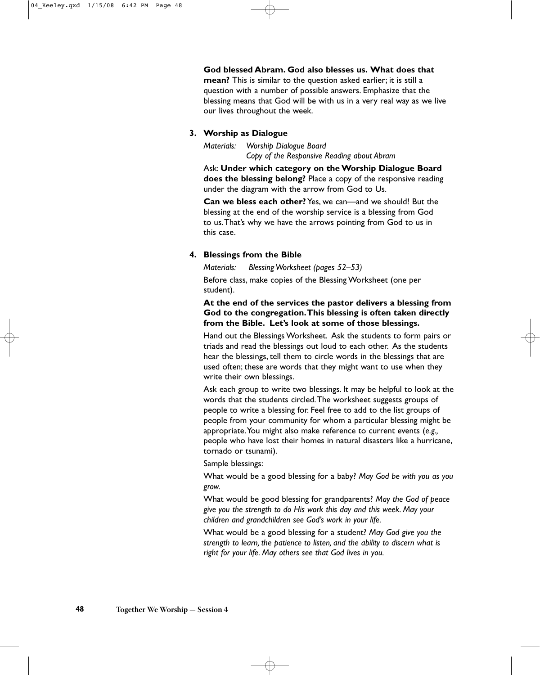**God blessed Abram. God also blesses us. What does that mean?** This is similar to the question asked earlier; it is still a question with a number of possible answers. Emphasize that the blessing means that God will be with us in a very real way as we live our lives throughout the week.

#### **3. Worship as Dialogue**

*Materials: Worship Dialogue Board Copy of the Responsive Reading about Abram*

Ask: **Under which category on the Worship Dialogue Board does the blessing belong?** Place a copy of the responsive reading under the diagram with the arrow from God to Us.

**Can we bless each other?** Yes, we can—and we should! But the blessing at the end of the worship service is a blessing from God to us.That's why we have the arrows pointing from God to us in this case.

#### **4. Blessings from the Bible**

*Materials: Blessing Worksheet (pages 52–53)*

Before class, make copies of the Blessing Worksheet (one per student).

#### **At the end of the services the pastor delivers a blessing from God to the congregation.This blessing is often taken directly from the Bible. Let's look at some of those blessings.**

Hand out the Blessings Worksheet. Ask the students to form pairs or triads and read the blessings out loud to each other. As the students hear the blessings, tell them to circle words in the blessings that are used often; these are words that they might want to use when they write their own blessings.

Ask each group to write two blessings. It may be helpful to look at the words that the students circled.The worksheet suggests groups of people to write a blessing for. Feel free to add to the list groups of people from your community for whom a particular blessing might be appropriate.You might also make reference to current events (*e.g.,* people who have lost their homes in natural disasters like a hurricane, tornado or tsunami).

Sample blessings:

What would be a good blessing for a baby? *May God be with you as you grow.*

What would be good blessing for grandparents? *May the God of peace give you the strength to do His work this day and this week. May your children and grandchildren see God's work in your life.*

What would be a good blessing for a student? *May God give you the strength to learn, the patience to listen, and the ability to discern what is right for your life. May others see that God lives in you.*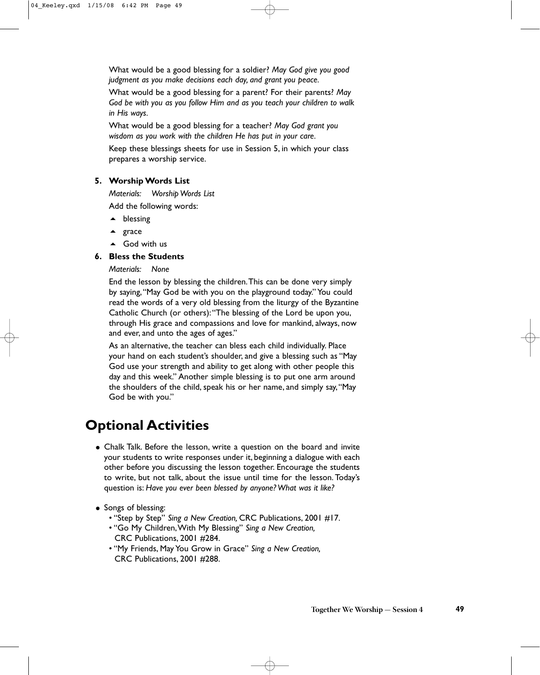What would be a good blessing for a soldier? *May God give you good judgment as you make decisions each day, and grant you peace.*

What would be a good blessing for a parent? For their parents? *May God be with you as you follow Him and as you teach your children to walk in His ways.*

What would be a good blessing for a teacher? *May God grant you wisdom as you work with the children He has put in your care.*

Keep these blessings sheets for use in Session 5, in which your class prepares a worship service.

#### **5. Worship Words List**

*Materials: Worship Words List* Add the following words:

- ▲ blessing
- ▲ grace
- ▲ God with us

#### **6. Bless the Students**

#### *Materials: None*

End the lesson by blessing the children.This can be done very simply by saying,"May God be with you on the playground today." You could read the words of a very old blessing from the liturgy of the Byzantine Catholic Church (or others):"The blessing of the Lord be upon you, through His grace and compassions and love for mankind, always, now and ever, and unto the ages of ages."

As an alternative, the teacher can bless each child individually. Place your hand on each student's shoulder, and give a blessing such as "May God use your strength and ability to get along with other people this day and this week." Another simple blessing is to put one arm around the shoulders of the child, speak his or her name, and simply say,"May God be with you."

## **Optional Activities**

- Chalk Talk. Before the lesson, write a question on the board and invite your students to write responses under it, beginning a dialogue with each other before you discussing the lesson together. Encourage the students to write, but not talk, about the issue until time for the lesson. Today's question is: *Have you ever been blessed by anyone? What was it like?*
- Songs of blessing:
	- "Step by Step" *Sing a New Creation,* CRC Publications, 2001 #17.
	- "Go My Children,With My Blessing" *Sing a New Creation,* CRC Publications, 2001 #284.
	- "My Friends, May You Grow in Grace" *Sing a New Creation,* CRC Publications, 2001 #288.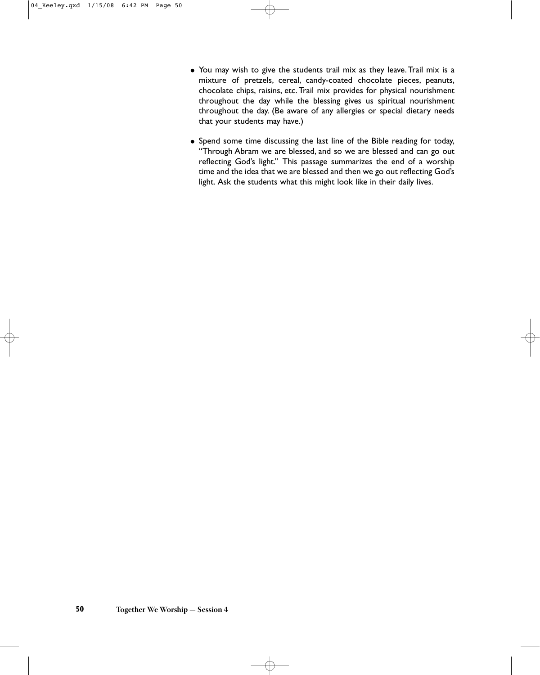- You may wish to give the students trail mix as they leave. Trail mix is a mixture of pretzels, cereal, candy-coated chocolate pieces, peanuts, chocolate chips, raisins, etc. Trail mix provides for physical nourishment throughout the day while the blessing gives us spiritual nourishment throughout the day. (Be aware of any allergies or special dietary needs that your students may have.)
- Spend some time discussing the last line of the Bible reading for today, "Through Abram we are blessed, and so we are blessed and can go out reflecting God's light." This passage summarizes the end of a worship time and the idea that we are blessed and then we go out reflecting God's light. Ask the students what this might look like in their daily lives.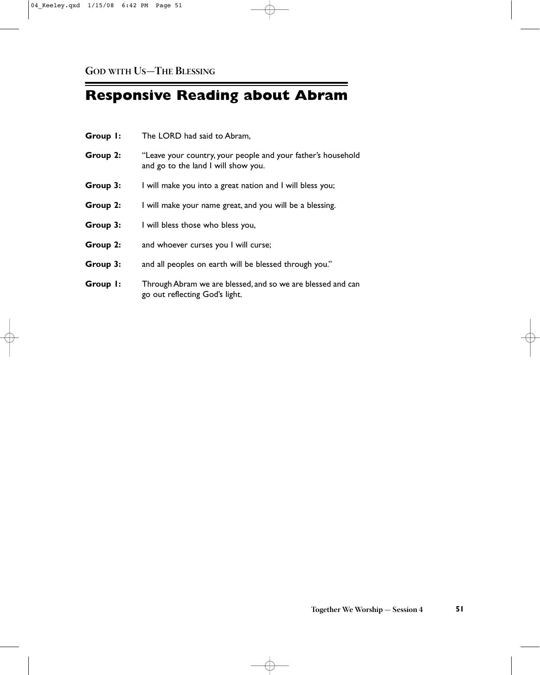# **Responsive Reading about Abram**

| Group 1: | The LORD had said to Abram,                                                                         |  |
|----------|-----------------------------------------------------------------------------------------------------|--|
| Group 2: | "Leave your country, your people and your father's household<br>and go to the land I will show you. |  |
| Group 3: | I will make you into a great nation and I will bless you;                                           |  |
| Group 2: | I will make your name great, and you will be a blessing.                                            |  |
| Group 3: | I will bless those who bless you,                                                                   |  |
| Group 2: | and whoever curses you I will curse;                                                                |  |
| Group 3: | and all peoples on earth will be blessed through you."                                              |  |
| Group I: | Through Abram we are blessed, and so we are blessed and can<br>go out reflecting God's light.       |  |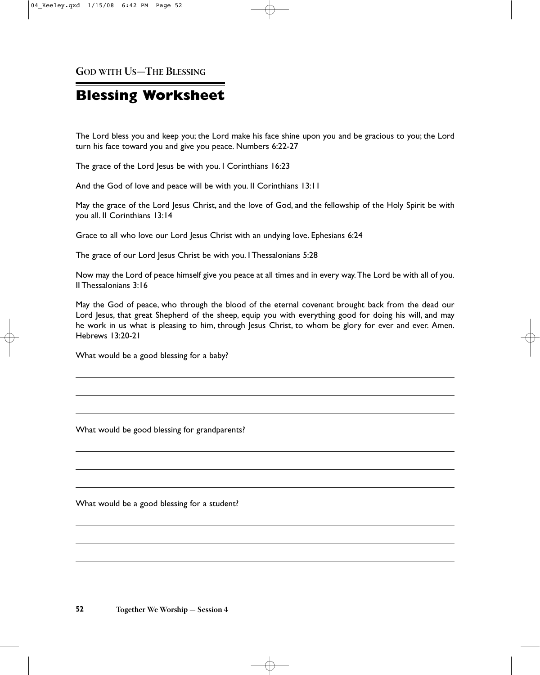**GOD WITH US—THE BLESSING**

## **Blessing Worksheet**

The Lord bless you and keep you; the Lord make his face shine upon you and be gracious to you; the Lord turn his face toward you and give you peace. Numbers 6:22-27

The grace of the Lord Jesus be with you. I Corinthians 16:23

And the God of love and peace will be with you. II Corinthians 13:11

May the grace of the Lord Jesus Christ, and the love of God, and the fellowship of the Holy Spirit be with you all. II Corinthians 13:14

Grace to all who love our Lord Jesus Christ with an undying love. Ephesians 6:24

The grace of our Lord Jesus Christ be with you. I Thessalonians 5:28

Now may the Lord of peace himself give you peace at all times and in every way. The Lord be with all of you. II Thessalonians 3:16

May the God of peace, who through the blood of the eternal covenant brought back from the dead our Lord Jesus, that great Shepherd of the sheep, equip you with everything good for doing his will, and may he work in us what is pleasing to him, through Jesus Christ, to whom be glory for ever and ever. Amen. Hebrews 13:20-21

What would be a good blessing for a baby?

What would be good blessing for grandparents?

What would be a good blessing for a student?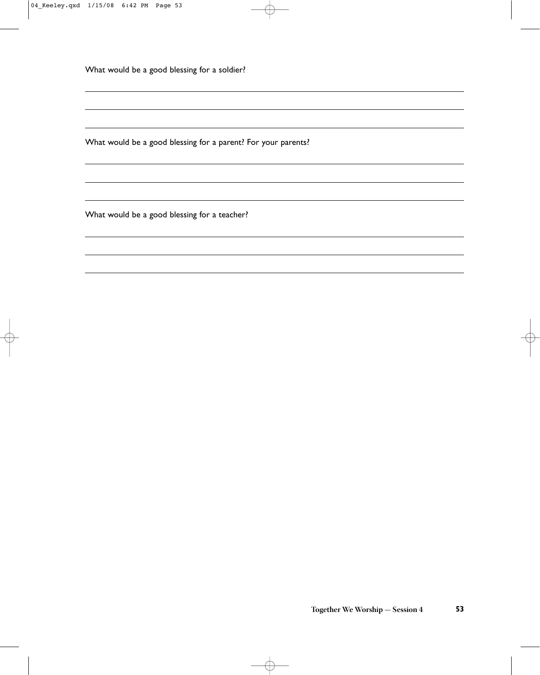What would be a good blessing for a soldier?

What would be a good blessing for a parent? For your parents?

What would be a good blessing for a teacher?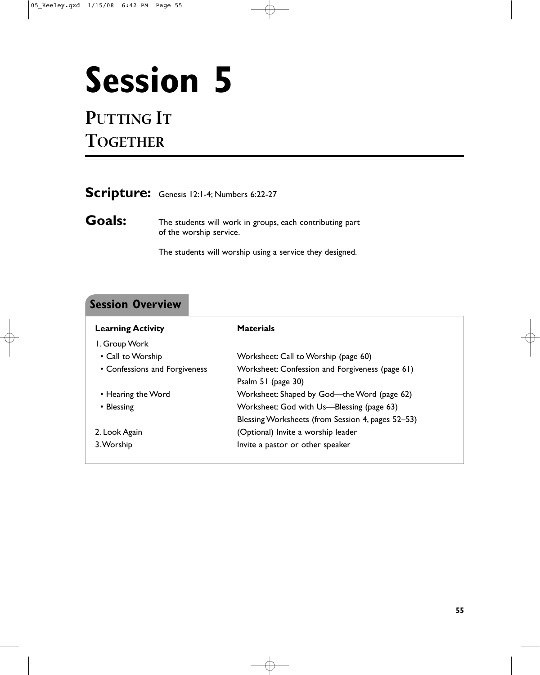# **Session 5**

## **PUTTING IT TOGETHER**

| Scripture: Genesis 12:1-4; Numbers 6:22-27 |  |  |  |
|--------------------------------------------|--|--|--|
|--------------------------------------------|--|--|--|

**Goals:** The students will work in groups, each contributing part of the worship service.

The students will worship using a service they designed.

### **Session Overview**

| <b>Learning Activity</b>      | <b>Materials</b>                                  |
|-------------------------------|---------------------------------------------------|
| I. Group Work                 |                                                   |
| • Call to Worship             | Worksheet: Call to Worship (page 60)              |
| • Confessions and Forgiveness | Worksheet: Confession and Forgiveness (page 61)   |
|                               | Psalm 51 (page 30)                                |
| • Hearing the Word            | Worksheet: Shaped by God-the Word (page 62)       |
| • Blessing                    | Worksheet: God with Us—Blessing (page 63)         |
|                               | Blessing Worksheets (from Session 4, pages 52-53) |
| 2. Look Again                 | (Optional) Invite a worship leader                |
| 3. Worship                    | Invite a pastor or other speaker                  |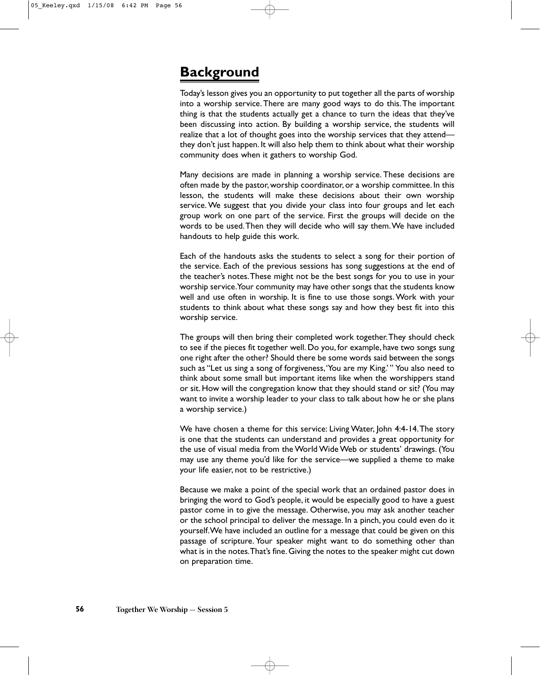## **Background**

Today's lesson gives you an opportunity to put together all the parts of worship into a worship service.There are many good ways to do this.The important thing is that the students actually get a chance to turn the ideas that they've been discussing into action. By building a worship service, the students will realize that a lot of thought goes into the worship services that they attend they don't just happen. It will also help them to think about what their worship community does when it gathers to worship God.

Many decisions are made in planning a worship service. These decisions are often made by the pastor, worship coordinator, or a worship committee. In this lesson, the students will make these decisions about their own worship service. We suggest that you divide your class into four groups and let each group work on one part of the service. First the groups will decide on the words to be used.Then they will decide who will say them.We have included handouts to help guide this work.

Each of the handouts asks the students to select a song for their portion of the service. Each of the previous sessions has song suggestions at the end of the teacher's notes.These might not be the best songs for you to use in your worship service.Your community may have other songs that the students know well and use often in worship. It is fine to use those songs. Work with your students to think about what these songs say and how they best fit into this worship service.

The groups will then bring their completed work together.They should check to see if the pieces fit together well. Do you, for example, have two songs sung one right after the other? Should there be some words said between the songs such as "Let us sing a song of forgiveness,'You are my King.' " You also need to think about some small but important items like when the worshippers stand or sit. How will the congregation know that they should stand or sit? (You may want to invite a worship leader to your class to talk about how he or she plans a worship service.)

We have chosen a theme for this service: Living Water, John 4:4-14.The story is one that the students can understand and provides a great opportunity for the use of visual media from the World Wide Web or students' drawings. (You may use any theme you'd like for the service—we supplied a theme to make your life easier, not to be restrictive.)

Because we make a point of the special work that an ordained pastor does in bringing the word to God's people, it would be especially good to have a guest pastor come in to give the message. Otherwise, you may ask another teacher or the school principal to deliver the message. In a pinch, you could even do it yourself.We have included an outline for a message that could be given on this passage of scripture. Your speaker might want to do something other than what is in the notes.That's fine. Giving the notes to the speaker might cut down on preparation time.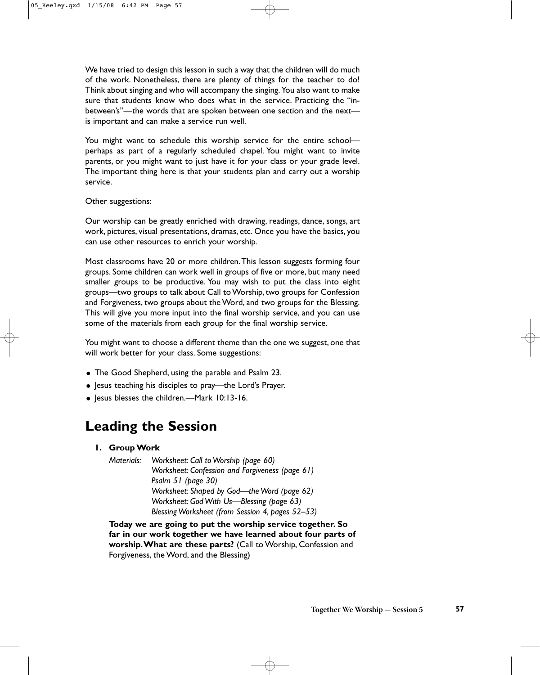We have tried to design this lesson in such a way that the children will do much of the work. Nonetheless, there are plenty of things for the teacher to do! Think about singing and who will accompany the singing.You also want to make sure that students know who does what in the service. Practicing the "inbetween's"—the words that are spoken between one section and the next is important and can make a service run well.

You might want to schedule this worship service for the entire school perhaps as part of a regularly scheduled chapel. You might want to invite parents, or you might want to just have it for your class or your grade level. The important thing here is that your students plan and carry out a worship service.

#### Other suggestions:

Our worship can be greatly enriched with drawing, readings, dance, songs, art work, pictures, visual presentations, dramas, etc. Once you have the basics, you can use other resources to enrich your worship.

Most classrooms have 20 or more children.This lesson suggests forming four groups. Some children can work well in groups of five or more, but many need smaller groups to be productive. You may wish to put the class into eight groups—two groups to talk about Call to Worship, two groups for Confession and Forgiveness, two groups about the Word, and two groups for the Blessing. This will give you more input into the final worship service, and you can use some of the materials from each group for the final worship service.

You might want to choose a different theme than the one we suggest, one that will work better for your class. Some suggestions:

- The Good Shepherd, using the parable and Psalm 23.
- Jesus teaching his disciples to pray—the Lord's Prayer.
- Jesus blesses the children.—Mark 10:13-16.

## **Leading the Session**

**1. Group Work**

*Materials: Worksheet: Call to Worship (page 60) Worksheet: Confession and Forgiveness (page 61) Psalm 51 (page 30) Worksheet: Shaped by God—the Word (page 62) Worksheet: God With Us—Blessing (page 63) Blessing Worksheet (from Session 4, pages 52–53)*

**Today we are going to put the worship service together. So far in our work together we have learned about four parts of worship.What are these parts?** (Call to Worship, Confession and Forgiveness, the Word, and the Blessing)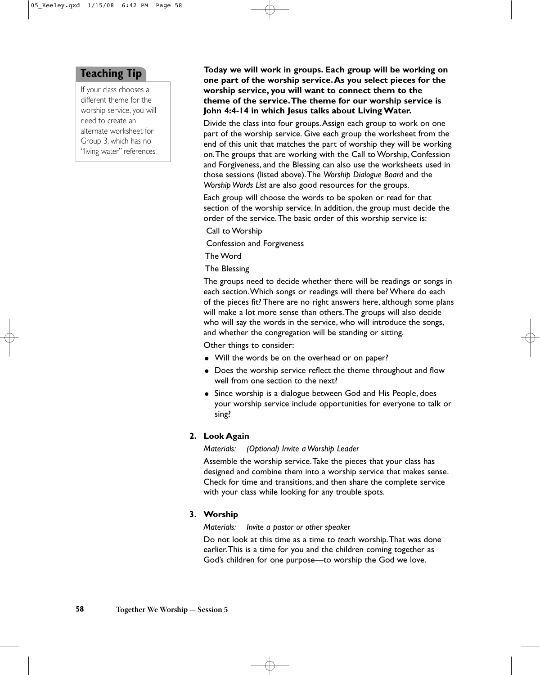#### **Teaching Tip**

If your class chooses a different theme for the worship service, you will need to create an alternate worksheet for Group 3, which has no "living water" references.

**Today we will work in groups. Each group will be working on one part of the worship service.As you select pieces for the worship service, you will want to connect them to the theme of the service.The theme for our worship service is John 4:4-14 in which Jesus talks about Living Water.**

Divide the class into four groups.Assign each group to work on one part of the worship service. Give each group the worksheet from the end of this unit that matches the part of worship they will be working on.The groups that are working with the Call to Worship, Confession and Forgiveness, and the Blessing can also use the worksheets used in those sessions (listed above).The *Worship Dialogue Board* and the *Worship Words List* are also good resources for the groups.

Each group will choose the words to be spoken or read for that section of the worship service. In addition, the group must decide the order of the service.The basic order of this worship service is:

Call to Worship

Confession and Forgiveness

The Word

The Blessing

The groups need to decide whether there will be readings or songs in each section.Which songs or readings will there be? Where do each of the pieces fit? There are no right answers here, although some plans will make a lot more sense than others.The groups will also decide who will say the words in the service, who will introduce the songs, and whether the congregation will be standing or sitting.

Other things to consider:

- Will the words be on the overhead or on paper?
- Does the worship service reflect the theme throughout and flow well from one section to the next?
- Since worship is a dialogue between God and His People, does your worship service include opportunities for everyone to talk or sing?

#### **2. Look Again**

*Materials: (Optional) Invite a Worship Leader*

Assemble the worship service.Take the pieces that your class has designed and combine them into a worship service that makes sense. Check for time and transitions, and then share the complete service with your class while looking for any trouble spots.

#### **3. Worship**

*Materials: Invite a pastor or other speaker*

Do not look at this time as a time to *teach* worship.That was done earlier.This is a time for you and the children coming together as God's children for one purpose—to worship the God we love.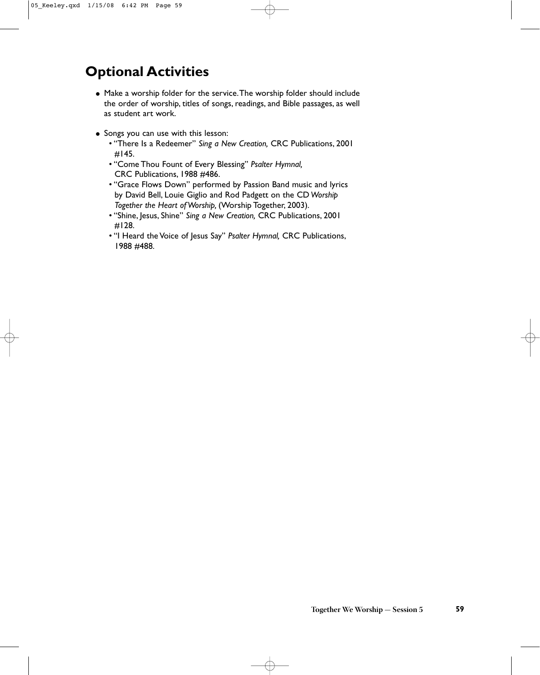## **Optional Activities**

- Make a worship folder for the service.The worship folder should include the order of worship, titles of songs, readings, and Bible passages, as well as student art work.
- Songs you can use with this lesson:
	- "There Is a Redeemer" *Sing a New Creation,* CRC Publications, 2001 #145.
	- "Come Thou Fount of Every Blessing" *Psalter Hymnal,* CRC Publications, 1988 #486.
	- "Grace Flows Down" performed by Passion Band music and lyrics by David Bell, Louie Giglio and Rod Padgett on the CD *Worship Together the Heart of Worship,* (Worship Together, 2003).
	- "Shine, Jesus, Shine" *Sing a New Creation,* CRC Publications, 2001 #128.
	- "I Heard the Voice of Jesus Say" *Psalter Hymnal,* CRC Publications, 1988 #488.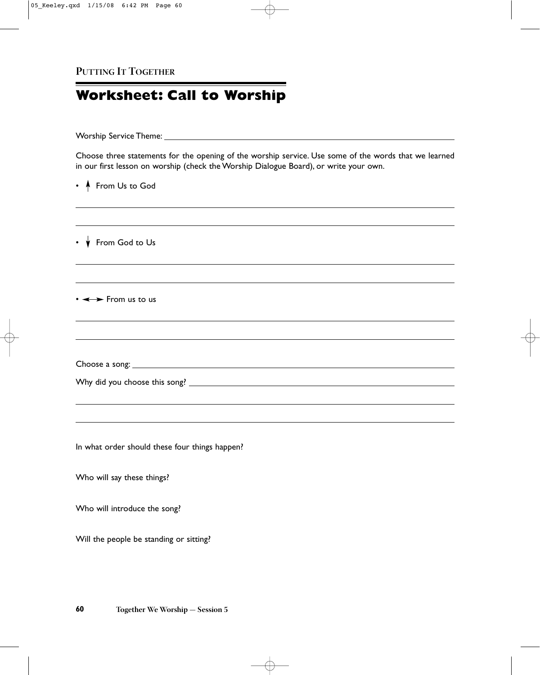## **Worksheet: Call to Worship**

Worship Service Theme:

Choose three statements for the opening of the worship service. Use some of the words that we learned in our first lesson on worship (check the Worship Dialogue Board), or write your own.

and the control of the control of the control of the control of the control of the control of the control of the

• **A** From Us to God

 $\cdot \mathbf{\n}$  From God to Us

 $\cdot \leftrightarrow$  From us to us

Choose a song:

|  |  | Why did you choose this song? |  |  |
|--|--|-------------------------------|--|--|
|--|--|-------------------------------|--|--|

In what order should these four things happen?

Who will say these things?

Who will introduce the song?

Will the people be standing or sitting?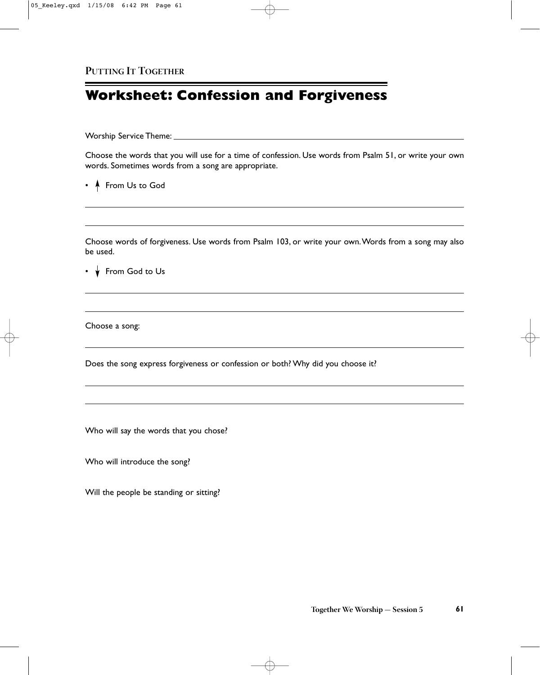## **Worksheet: Confession and Forgiveness**

Worship Service Theme:

Choose the words that you will use for a time of confession. Use words from Psalm 51, or write your own words. Sometimes words from a song are appropriate.

• **A** From Us to God

Choose words of forgiveness. Use words from Psalm 103, or write your own.Words from a song may also be used.

 $\cdot \mathbf{v}$  From God to Us

Choose a song:

Does the song express forgiveness or confession or both? Why did you choose it?

Who will say the words that you chose?

Who will introduce the song?

Will the people be standing or sitting?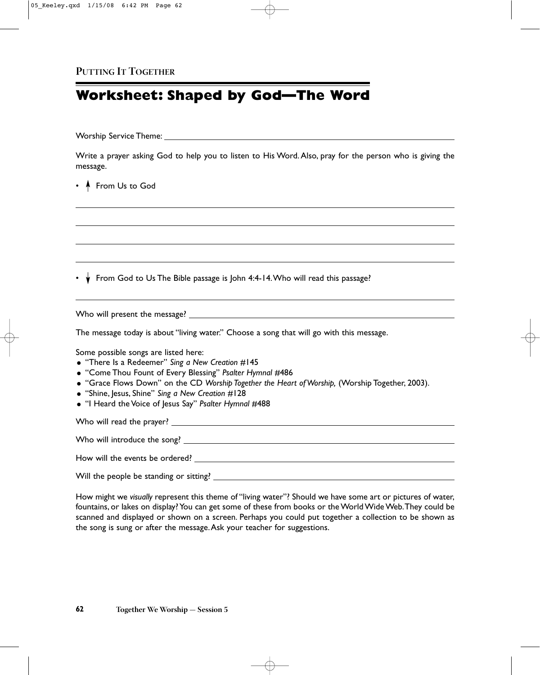## **Worksheet: Shaped by God—The Word**

Worship Service Theme:

Write a prayer asking God to help you to listen to His Word. Also, pray for the person who is giving the message.

• **A** From Us to God

•  $\overrightarrow{v}$  From God to Us The Bible passage is John 4:4-14. Who will read this passage?

Who will present the message?

The message today is about "living water." Choose a song that will go with this message.

Some possible songs are listed here:

- "There Is a Redeemer" *Sing a New Creation* #145
- "Come Thou Fount of Every Blessing" *Psalter Hymnal* #486
- "Grace Flows Down" on the CD *Worship Together the Heart of Worship,* (Worship Together, 2003).
- "Shine, Jesus, Shine" *Sing a New Creation* #128
- "I Heard the Voice of Jesus Say" *Psalter Hymnal* #488

Who will read the prayer?

Who will introduce the song?

How will the events be ordered?

Will the people be standing or sitting?

How might we *visually* represent this theme of "living water"? Should we have some art or pictures of water, fountains, or lakes on display? You can get some of these from books or the World Wide Web.They could be scanned and displayed or shown on a screen. Perhaps you could put together a collection to be shown as the song is sung or after the message.Ask your teacher for suggestions.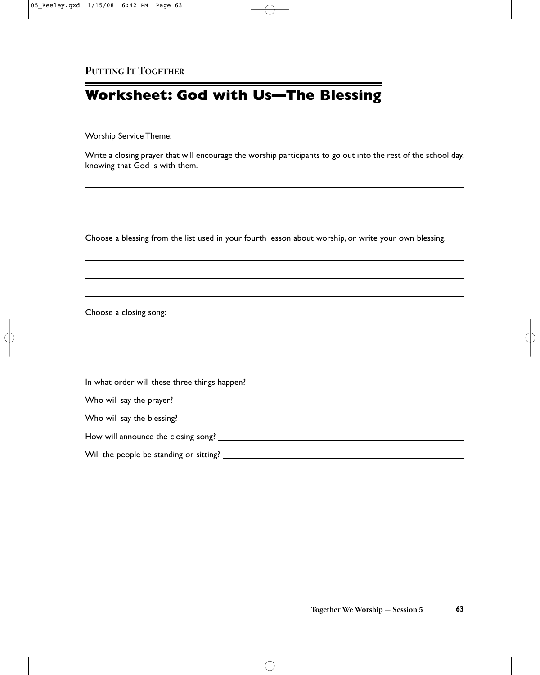## **Worksheet: God with Us—The Blessing**

Worship Service Theme:

Write a closing prayer that will encourage the worship participants to go out into the rest of the school day, knowing that God is with them.

Choose a blessing from the list used in your fourth lesson about worship, or write your own blessing.

Choose a closing song:

In what order will these three things happen?

| How will announce the closing song?       |  |
|-------------------------------------------|--|
| Will the people be standing or sitting? _ |  |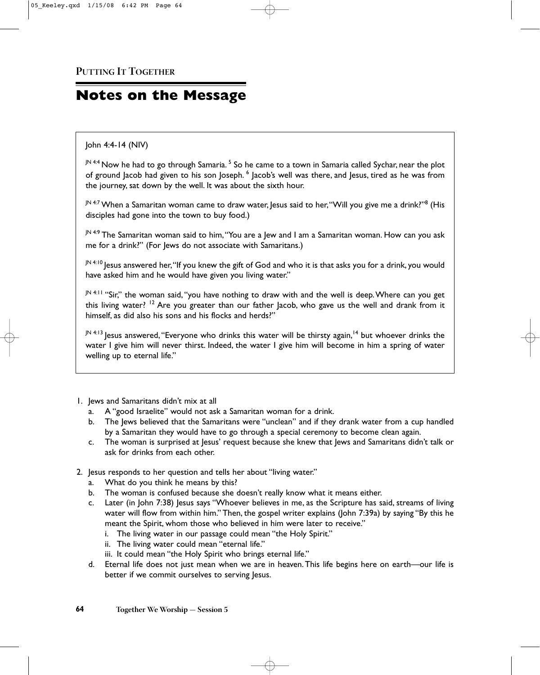## **Notes on the Message**

#### John 4:4-14 (NIV)

JN 4:4 Now he had to go through Samaria.<sup>5</sup> So he came to a town in Samaria called Sychar, near the plot of ground Jacob had given to his son Joseph. <sup>6</sup> Jacob's well was there, and Jesus, tired as he was from the journey, sat down by the well. It was about the sixth hour.

JN 4:7 When a Samaritan woman came to draw water, lesus said to her, "Will you give me a drink?"<sup>8</sup> (His disciples had gone into the town to buy food.)

JN 4:9 The Samaritan woman said to him, "You are a Jew and I am a Samaritan woman. How can you ask me for a drink?" (For Jews do not associate with Samaritans.)

JN 4:10 Jesus answered her, "If you knew the gift of God and who it is that asks you for a drink, you would have asked him and he would have given you living water."

JN 4:11 "Sir," the woman said, "you have nothing to draw with and the well is deep. Where can you get this living water?  $12$  Are you greater than our father Jacob, who gave us the well and drank from it himself, as did also his sons and his flocks and herds?"

 $J<sup>N 4:13</sup>$  Jesus answered, "Everyone who drinks this water will be thirsty again,<sup>14</sup> but whoever drinks the water I give him will never thirst. Indeed, the water I give him will become in him a spring of water welling up to eternal life."

- 1. Jews and Samaritans didn't mix at all
	- a. A "good Israelite" would not ask a Samaritan woman for a drink.
	- b. The Jews believed that the Samaritans were "unclean" and if they drank water from a cup handled by a Samaritan they would have to go through a special ceremony to become clean again.
	- c. The woman is surprised at Jesus' request because she knew that Jews and Samaritans didn't talk or ask for drinks from each other.
- 2. Jesus responds to her question and tells her about "living water."
	- a. What do you think he means by this?
	- b. The woman is confused because she doesn't really know what it means either.
	- c. Later (in John 7:38) Jesus says "Whoever believes in me, as the Scripture has said, streams of living water will flow from within him." Then, the gospel writer explains (John 7:39a) by saying "By this he meant the Spirit, whom those who believed in him were later to receive."
		- i. The living water in our passage could mean "the Holy Spirit."
		- ii. The living water could mean "eternal life."
		- iii. It could mean "the Holy Spirit who brings eternal life."
	- d. Eternal life does not just mean when we are in heaven.This life begins here on earth—our life is better if we commit ourselves to serving Jesus.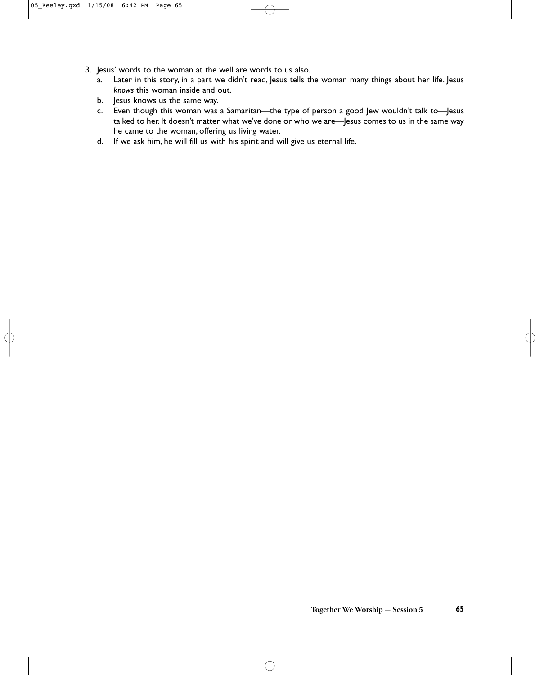- 3. Jesus' words to the woman at the well are words to us also.
	- a. Later in this story, in a part we didn't read, Jesus tells the woman many things about her life. Jesus *knows* this woman inside and out.
	- b. Jesus knows us the same way.
	- c. Even though this woman was a Samaritan—the type of person a good Jew wouldn't talk to—Jesus talked to her. It doesn't matter what we've done or who we are—Jesus comes to us in the same way he came to the woman, offering us living water.
	- d. If we ask him, he will fill us with his spirit and will give us eternal life.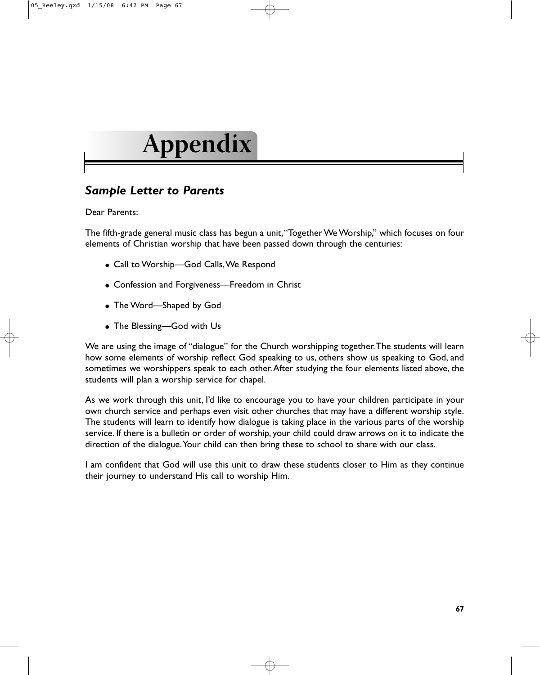## **Appendix**

## *Sample Letter to Parents*

Dear Parents:

The fifth-grade general music class has begun a unit,"Together We Worship," which focuses on four elements of Christian worship that have been passed down through the centuries:

- Call to Worship-God Calls, We Respond
- Confession and Forgiveness—Freedom in Christ
- The Word—Shaped by God
- The Blessing-God with Us

We are using the image of "dialogue" for the Church worshipping together.The students will learn how some elements of worship reflect God speaking to us, others show us speaking to God, and sometimes we worshippers speak to each other.After studying the four elements listed above, the students will plan a worship service for chapel.

As we work through this unit, I'd like to encourage you to have your children participate in your own church service and perhaps even visit other churches that may have a different worship style. The students will learn to identify how dialogue is taking place in the various parts of the worship service. If there is a bulletin or order of worship, your child could draw arrows on it to indicate the direction of the dialogue. Your child can then bring these to school to share with our class.

I am confident that God will use this unit to draw these students closer to Him as they continue their journey to understand His call to worship Him.